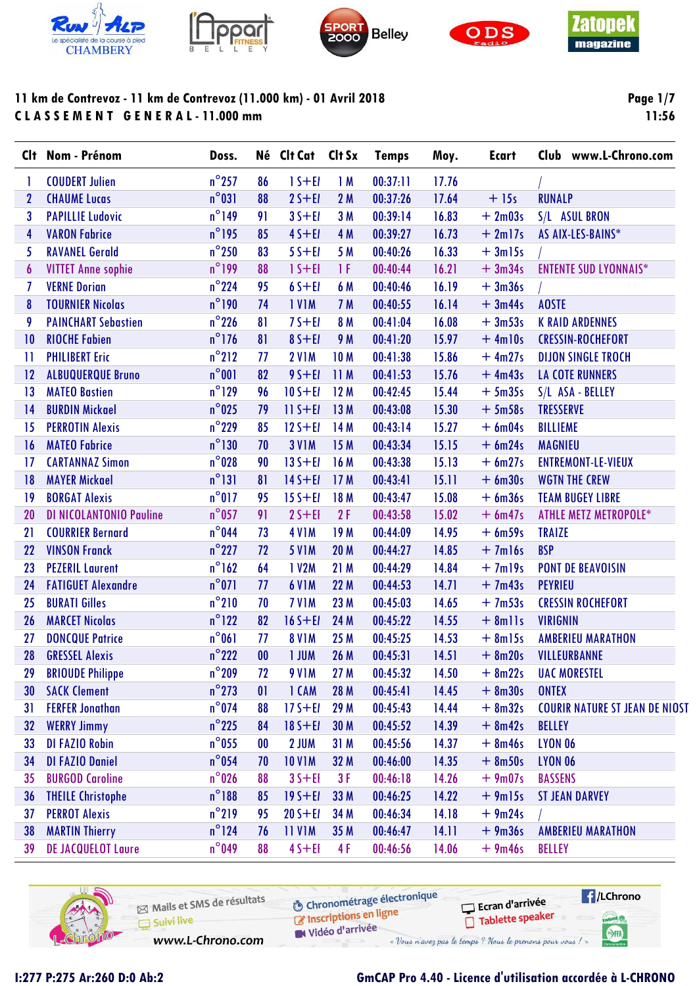









**Page 1/7** 11:56

| $n^{\circ}$ 257<br><b>COUDERT Julien</b><br>86<br>$1 S + E I$<br>$n^{\circ}031$<br><b>CHAUME Lucas</b><br>$2S + EI$<br>88<br>$\mathbf 2$<br>$n^{\circ}$ 149<br>3<br>91<br>$35 + E1$<br><b>PAPILLIE Ludovic</b><br>$n^{\circ}$ 195<br><b>VARON Fabrice</b><br>$45 + E1$<br>85<br>4<br>$n^{\circ}250$<br>5<br><b>RAVANEL Gerald</b><br>83<br>$55 + E1$<br>$n^{\circ}$ 199<br>$15 + E1$<br>1F<br><b>VITTET Anne sophie</b><br>88<br>6<br>$n^{\circ}$ 224<br>95<br>$65 + EI$<br>7<br><b>VERNE Dorian</b><br>$n^{\circ}$ 190<br><b>TOURNIER Nicolas</b><br><b>IVIM</b><br>74<br>8<br>$n^{\circ}$ 226<br>$75 + E1$<br>9<br><b>PAINCHART Sebastien</b><br>81<br>$n^{\circ}$ 176<br><b>RIOCHE Fabien</b><br>$85 + E1$<br>81<br>10<br>$n^{\circ}212$<br><b>2 V1M</b><br><b>10M</b><br><b>PHILIBERT Eric</b><br>77<br>П<br>$n^{\circ}001$<br>82<br>$95 + EI$<br>11M<br><b>ALBUQUERQUE Bruno</b><br>12<br>$n^{\circ}$ 129<br>$10 S + E1$<br>12M<br><b>MATEO Bastien</b><br>96<br>13<br>$n^{\circ}$ 025<br><b>BURDIN Mickael</b><br>$11 S + E1$<br>13M<br>14<br>79<br>$n^{\circ}$ 229<br><b>PERROTIN Alexis</b><br>$12S + EI$<br>14 M<br>85<br>15<br>$n^{\circ}$ 130<br><b>MATEO Fabrice</b><br><b>3 V1M</b><br>15 M<br>70<br>16<br>$n^{\circ}028$<br>$13S + EI$<br>16 M<br><b>CARTANNAZ Simon</b><br>90<br>17 | 1M<br>00:37:11<br>17.76<br>$+15s$<br><b>RUNALP</b><br>2M<br>00:37:26<br>17.64<br>3M<br>00:39:14<br>16.83<br>$+2m03s$<br>S/L ASUL BRON<br>16.73<br>$+2m17s$<br>4 M<br>00:39:27<br>AS AIX-LES-BAINS*<br>5 M<br>16.33<br>00:40:26<br>$+3m15s$<br>00:40:44<br>16.21<br>$+3m34s$<br><b>ENTENTE SUD LYONNAIS*</b><br>6 M<br>16.19<br>$+3m36s$<br>00:40:46<br>00:40:55<br>16.14<br>$+3m44s$<br><b>AOSTE</b><br>7 M<br>8 M<br>16.08<br>$+3m53s$<br>00:41:04<br><b>K RAID ARDENNES</b><br>00:41:20<br>15.97<br>$+4ml0s$<br><b>CRESSIN-ROCHEFORT</b><br>9 M<br>15.86<br>$+4m27s$<br><b>DIJON SINGLE TROCH</b><br>00:41:38<br>$+4m43s$<br><b>LA COTE RUNNERS</b><br>00:41:53<br>15.76<br>15.44<br>$+5m35s$<br>00:42:45<br>S/L ASA - BELLEY<br>15.30<br>$+5m58s$<br><b>TRESSERVE</b><br>00:43:08<br>15.27<br>00:43:14<br>$+6m04s$<br><b>BILLIEME</b><br>15.15<br>$+ 6m24s$<br>00:43:34<br><b>MAGNIEU</b> |
|----------------------------------------------------------------------------------------------------------------------------------------------------------------------------------------------------------------------------------------------------------------------------------------------------------------------------------------------------------------------------------------------------------------------------------------------------------------------------------------------------------------------------------------------------------------------------------------------------------------------------------------------------------------------------------------------------------------------------------------------------------------------------------------------------------------------------------------------------------------------------------------------------------------------------------------------------------------------------------------------------------------------------------------------------------------------------------------------------------------------------------------------------------------------------------------------------------------------------------------------------------------------------------------------------|----------------------------------------------------------------------------------------------------------------------------------------------------------------------------------------------------------------------------------------------------------------------------------------------------------------------------------------------------------------------------------------------------------------------------------------------------------------------------------------------------------------------------------------------------------------------------------------------------------------------------------------------------------------------------------------------------------------------------------------------------------------------------------------------------------------------------------------------------------------------------------------------|
|                                                                                                                                                                                                                                                                                                                                                                                                                                                                                                                                                                                                                                                                                                                                                                                                                                                                                                                                                                                                                                                                                                                                                                                                                                                                                                    |                                                                                                                                                                                                                                                                                                                                                                                                                                                                                                                                                                                                                                                                                                                                                                                                                                                                                              |
|                                                                                                                                                                                                                                                                                                                                                                                                                                                                                                                                                                                                                                                                                                                                                                                                                                                                                                                                                                                                                                                                                                                                                                                                                                                                                                    |                                                                                                                                                                                                                                                                                                                                                                                                                                                                                                                                                                                                                                                                                                                                                                                                                                                                                              |
|                                                                                                                                                                                                                                                                                                                                                                                                                                                                                                                                                                                                                                                                                                                                                                                                                                                                                                                                                                                                                                                                                                                                                                                                                                                                                                    |                                                                                                                                                                                                                                                                                                                                                                                                                                                                                                                                                                                                                                                                                                                                                                                                                                                                                              |
|                                                                                                                                                                                                                                                                                                                                                                                                                                                                                                                                                                                                                                                                                                                                                                                                                                                                                                                                                                                                                                                                                                                                                                                                                                                                                                    |                                                                                                                                                                                                                                                                                                                                                                                                                                                                                                                                                                                                                                                                                                                                                                                                                                                                                              |
|                                                                                                                                                                                                                                                                                                                                                                                                                                                                                                                                                                                                                                                                                                                                                                                                                                                                                                                                                                                                                                                                                                                                                                                                                                                                                                    |                                                                                                                                                                                                                                                                                                                                                                                                                                                                                                                                                                                                                                                                                                                                                                                                                                                                                              |
|                                                                                                                                                                                                                                                                                                                                                                                                                                                                                                                                                                                                                                                                                                                                                                                                                                                                                                                                                                                                                                                                                                                                                                                                                                                                                                    |                                                                                                                                                                                                                                                                                                                                                                                                                                                                                                                                                                                                                                                                                                                                                                                                                                                                                              |
|                                                                                                                                                                                                                                                                                                                                                                                                                                                                                                                                                                                                                                                                                                                                                                                                                                                                                                                                                                                                                                                                                                                                                                                                                                                                                                    |                                                                                                                                                                                                                                                                                                                                                                                                                                                                                                                                                                                                                                                                                                                                                                                                                                                                                              |
|                                                                                                                                                                                                                                                                                                                                                                                                                                                                                                                                                                                                                                                                                                                                                                                                                                                                                                                                                                                                                                                                                                                                                                                                                                                                                                    |                                                                                                                                                                                                                                                                                                                                                                                                                                                                                                                                                                                                                                                                                                                                                                                                                                                                                              |
|                                                                                                                                                                                                                                                                                                                                                                                                                                                                                                                                                                                                                                                                                                                                                                                                                                                                                                                                                                                                                                                                                                                                                                                                                                                                                                    |                                                                                                                                                                                                                                                                                                                                                                                                                                                                                                                                                                                                                                                                                                                                                                                                                                                                                              |
|                                                                                                                                                                                                                                                                                                                                                                                                                                                                                                                                                                                                                                                                                                                                                                                                                                                                                                                                                                                                                                                                                                                                                                                                                                                                                                    |                                                                                                                                                                                                                                                                                                                                                                                                                                                                                                                                                                                                                                                                                                                                                                                                                                                                                              |
|                                                                                                                                                                                                                                                                                                                                                                                                                                                                                                                                                                                                                                                                                                                                                                                                                                                                                                                                                                                                                                                                                                                                                                                                                                                                                                    |                                                                                                                                                                                                                                                                                                                                                                                                                                                                                                                                                                                                                                                                                                                                                                                                                                                                                              |
|                                                                                                                                                                                                                                                                                                                                                                                                                                                                                                                                                                                                                                                                                                                                                                                                                                                                                                                                                                                                                                                                                                                                                                                                                                                                                                    |                                                                                                                                                                                                                                                                                                                                                                                                                                                                                                                                                                                                                                                                                                                                                                                                                                                                                              |
|                                                                                                                                                                                                                                                                                                                                                                                                                                                                                                                                                                                                                                                                                                                                                                                                                                                                                                                                                                                                                                                                                                                                                                                                                                                                                                    |                                                                                                                                                                                                                                                                                                                                                                                                                                                                                                                                                                                                                                                                                                                                                                                                                                                                                              |
|                                                                                                                                                                                                                                                                                                                                                                                                                                                                                                                                                                                                                                                                                                                                                                                                                                                                                                                                                                                                                                                                                                                                                                                                                                                                                                    |                                                                                                                                                                                                                                                                                                                                                                                                                                                                                                                                                                                                                                                                                                                                                                                                                                                                                              |
|                                                                                                                                                                                                                                                                                                                                                                                                                                                                                                                                                                                                                                                                                                                                                                                                                                                                                                                                                                                                                                                                                                                                                                                                                                                                                                    |                                                                                                                                                                                                                                                                                                                                                                                                                                                                                                                                                                                                                                                                                                                                                                                                                                                                                              |
|                                                                                                                                                                                                                                                                                                                                                                                                                                                                                                                                                                                                                                                                                                                                                                                                                                                                                                                                                                                                                                                                                                                                                                                                                                                                                                    |                                                                                                                                                                                                                                                                                                                                                                                                                                                                                                                                                                                                                                                                                                                                                                                                                                                                                              |
|                                                                                                                                                                                                                                                                                                                                                                                                                                                                                                                                                                                                                                                                                                                                                                                                                                                                                                                                                                                                                                                                                                                                                                                                                                                                                                    | 15.13<br>$+ 6m27s$<br>00:43:38<br><b>ENTREMONT-LE-VIEUX</b>                                                                                                                                                                                                                                                                                                                                                                                                                                                                                                                                                                                                                                                                                                                                                                                                                                  |
| $n^{\circ}131$<br><b>MAYER Mickael</b><br>$14S + EI$<br>17M<br>81<br>18                                                                                                                                                                                                                                                                                                                                                                                                                                                                                                                                                                                                                                                                                                                                                                                                                                                                                                                                                                                                                                                                                                                                                                                                                            | 15.11<br>$+6m30s$<br><b>WGTN THE CREW</b><br>00:43:41                                                                                                                                                                                                                                                                                                                                                                                                                                                                                                                                                                                                                                                                                                                                                                                                                                        |
| $n^{\circ}017$<br><b>BORGAT Alexis</b><br>$15S + EI$<br>18 M<br>19<br>95                                                                                                                                                                                                                                                                                                                                                                                                                                                                                                                                                                                                                                                                                                                                                                                                                                                                                                                                                                                                                                                                                                                                                                                                                           | 15.08<br>$+6m36s$<br>00:43:47<br><b>TEAM BUGEY LIBRE</b>                                                                                                                                                                                                                                                                                                                                                                                                                                                                                                                                                                                                                                                                                                                                                                                                                                     |
| $n^{\circ}$ 057<br><b>DI NICOLANTONIO Pauline</b><br>$2S + EI$<br>2F<br>91<br>20                                                                                                                                                                                                                                                                                                                                                                                                                                                                                                                                                                                                                                                                                                                                                                                                                                                                                                                                                                                                                                                                                                                                                                                                                   | 00:43:58<br>15.02<br>$+ 6m47s$<br><b>ATHLE METZ METROPOLE*</b>                                                                                                                                                                                                                                                                                                                                                                                                                                                                                                                                                                                                                                                                                                                                                                                                                               |
| $n^{\circ}$ 044<br>19 <sub>M</sub><br><b>COURRIER Bernard</b><br>73<br><b>4 V1M</b><br>21                                                                                                                                                                                                                                                                                                                                                                                                                                                                                                                                                                                                                                                                                                                                                                                                                                                                                                                                                                                                                                                                                                                                                                                                          | 14.95<br>00:44:09<br>$+ 6m59s$<br><b>TRAIZE</b>                                                                                                                                                                                                                                                                                                                                                                                                                                                                                                                                                                                                                                                                                                                                                                                                                                              |
| $n^{\circ}$ 227<br><b>VINSON Franck</b><br><b>5 V1M</b><br><b>20 M</b><br>22<br>72                                                                                                                                                                                                                                                                                                                                                                                                                                                                                                                                                                                                                                                                                                                                                                                                                                                                                                                                                                                                                                                                                                                                                                                                                 | 00:44:27<br>14.85<br>$+7ml6s$<br><b>BSP</b>                                                                                                                                                                                                                                                                                                                                                                                                                                                                                                                                                                                                                                                                                                                                                                                                                                                  |
| $n^{\circ}$ 162<br>64<br>1 V2M<br>21M<br><b>PEZERIL Laurent</b><br>23                                                                                                                                                                                                                                                                                                                                                                                                                                                                                                                                                                                                                                                                                                                                                                                                                                                                                                                                                                                                                                                                                                                                                                                                                              | 14.84<br>$+7m19s$<br>00:44:29<br><b>PONT DE BEAVOISIN</b>                                                                                                                                                                                                                                                                                                                                                                                                                                                                                                                                                                                                                                                                                                                                                                                                                                    |
| $n^{\circ}071$<br><b>FATIGUET Alexandre</b><br>77<br><b>6 V1M</b><br>22 M<br>24                                                                                                                                                                                                                                                                                                                                                                                                                                                                                                                                                                                                                                                                                                                                                                                                                                                                                                                                                                                                                                                                                                                                                                                                                    | 14.71<br>$+7m43s$<br>00:44:53<br><b>PEYRIEU</b>                                                                                                                                                                                                                                                                                                                                                                                                                                                                                                                                                                                                                                                                                                                                                                                                                                              |
| $n^{\circ}210$<br><b>BURATI Gilles</b><br>7 V <sub>1</sub> M<br>23 M<br>25<br>70                                                                                                                                                                                                                                                                                                                                                                                                                                                                                                                                                                                                                                                                                                                                                                                                                                                                                                                                                                                                                                                                                                                                                                                                                   | 14.65<br>$+7m53s$<br>00:45:03<br><b>CRESSIN ROCHEFORT</b>                                                                                                                                                                                                                                                                                                                                                                                                                                                                                                                                                                                                                                                                                                                                                                                                                                    |
| $n^{\circ}$ 122<br><b>MARCET Nicolas</b><br>82<br>24 M<br>26<br>$16S + EI$                                                                                                                                                                                                                                                                                                                                                                                                                                                                                                                                                                                                                                                                                                                                                                                                                                                                                                                                                                                                                                                                                                                                                                                                                         | 14.55<br>$+ 8$ mlls<br><b>VIRIGNIN</b><br>00:45:22                                                                                                                                                                                                                                                                                                                                                                                                                                                                                                                                                                                                                                                                                                                                                                                                                                           |
| $n^{\circ}061$<br><b>8 V1M</b><br>25 M<br><b>DONCQUE Patrice</b><br>77<br>27                                                                                                                                                                                                                                                                                                                                                                                                                                                                                                                                                                                                                                                                                                                                                                                                                                                                                                                                                                                                                                                                                                                                                                                                                       | 00:45:25<br>14.53<br>$+ 8m15s$<br><b>AMBERIEU MARATHON</b>                                                                                                                                                                                                                                                                                                                                                                                                                                                                                                                                                                                                                                                                                                                                                                                                                                   |
| $n^{\circ}$ 222<br><b>GRESSEL Alexis</b><br>00<br><b>I JUM</b><br>26 M<br>28                                                                                                                                                                                                                                                                                                                                                                                                                                                                                                                                                                                                                                                                                                                                                                                                                                                                                                                                                                                                                                                                                                                                                                                                                       | 14.51<br>$+ 8m20s$<br>00:45:31<br>VILLEURBANNE                                                                                                                                                                                                                                                                                                                                                                                                                                                                                                                                                                                                                                                                                                                                                                                                                                               |
| $n^{\circ}$ 209<br><b>BRIOUDE Philippe</b><br><b>9 V1M</b><br>27 M<br>29<br>72                                                                                                                                                                                                                                                                                                                                                                                                                                                                                                                                                                                                                                                                                                                                                                                                                                                                                                                                                                                                                                                                                                                                                                                                                     | 00:45:32<br>14.50<br>$+ 8m22s$<br><b>UAC MORESTEL</b>                                                                                                                                                                                                                                                                                                                                                                                                                                                                                                                                                                                                                                                                                                                                                                                                                                        |
| $n^{\circ}$ 273<br><b>SACK Clement</b><br>1 CAM<br>28 M<br>30<br>$\mathbf{0}$                                                                                                                                                                                                                                                                                                                                                                                                                                                                                                                                                                                                                                                                                                                                                                                                                                                                                                                                                                                                                                                                                                                                                                                                                      | $+ 8m30s$<br>00:45:41<br>14.45<br><b>ONTEX</b>                                                                                                                                                                                                                                                                                                                                                                                                                                                                                                                                                                                                                                                                                                                                                                                                                                               |
| $n^{\circ}$ 074<br><b>FERFER Jonathan</b><br>$17S + EI$<br>29 M<br>88<br>31                                                                                                                                                                                                                                                                                                                                                                                                                                                                                                                                                                                                                                                                                                                                                                                                                                                                                                                                                                                                                                                                                                                                                                                                                        | 14.44<br>$+ 8m32s$<br><b>COURIR NATURE ST JEAN DE NIOST</b><br>00:45:43                                                                                                                                                                                                                                                                                                                                                                                                                                                                                                                                                                                                                                                                                                                                                                                                                      |
| $n^{\circ}$ 225<br><b>WERRY Jimmy</b><br>$18S + EI$<br>30 M<br>32<br>84                                                                                                                                                                                                                                                                                                                                                                                                                                                                                                                                                                                                                                                                                                                                                                                                                                                                                                                                                                                                                                                                                                                                                                                                                            | 00:45:52<br>14.39<br>$+ 8m42s$<br>BELLEY                                                                                                                                                                                                                                                                                                                                                                                                                                                                                                                                                                                                                                                                                                                                                                                                                                                     |
| $n^{\circ}$ 055<br><b>DI FAZIO Robin</b><br>2 JUM<br>31M<br>33<br>$\boldsymbol{00}$                                                                                                                                                                                                                                                                                                                                                                                                                                                                                                                                                                                                                                                                                                                                                                                                                                                                                                                                                                                                                                                                                                                                                                                                                | 00:45:56<br>14.37<br>$+ 8m46s$<br><b>LYON 06</b>                                                                                                                                                                                                                                                                                                                                                                                                                                                                                                                                                                                                                                                                                                                                                                                                                                             |
| $n^{\circ}$ 054<br><b>DI FAZIO Daniel</b><br><b>10 V1M</b><br>32 M<br>34<br>70                                                                                                                                                                                                                                                                                                                                                                                                                                                                                                                                                                                                                                                                                                                                                                                                                                                                                                                                                                                                                                                                                                                                                                                                                     | 00:46:00<br>14.35<br>$+ 8m50s$<br><b>LYON 06</b>                                                                                                                                                                                                                                                                                                                                                                                                                                                                                                                                                                                                                                                                                                                                                                                                                                             |
| $n^{\circ}$ 026<br><b>BURGOD Caroline</b><br>$35 + EI$<br>3F<br>35<br>88                                                                                                                                                                                                                                                                                                                                                                                                                                                                                                                                                                                                                                                                                                                                                                                                                                                                                                                                                                                                                                                                                                                                                                                                                           | 00:46:18<br>14.26<br>$+9m07s$<br><b>BASSENS</b>                                                                                                                                                                                                                                                                                                                                                                                                                                                                                                                                                                                                                                                                                                                                                                                                                                              |
| $n^{\circ}188$<br><b>THEILE Christophe</b><br>$19S + EI$<br>33 M<br>36<br>85                                                                                                                                                                                                                                                                                                                                                                                                                                                                                                                                                                                                                                                                                                                                                                                                                                                                                                                                                                                                                                                                                                                                                                                                                       | 00:46:25<br>14.22<br>$+9m15s$<br><b>ST JEAN DARVEY</b>                                                                                                                                                                                                                                                                                                                                                                                                                                                                                                                                                                                                                                                                                                                                                                                                                                       |
| $n^{\circ}$ 219<br><b>PERROT Alexis</b><br>34 M<br>$20 S + EI$<br>37<br>95                                                                                                                                                                                                                                                                                                                                                                                                                                                                                                                                                                                                                                                                                                                                                                                                                                                                                                                                                                                                                                                                                                                                                                                                                         | 00:46:34<br>14.18<br>$+9m24s$                                                                                                                                                                                                                                                                                                                                                                                                                                                                                                                                                                                                                                                                                                                                                                                                                                                                |
| $n^{\circ}$ 124<br><b>MARTIN Thierry</b><br><b>11 V1M</b><br>35 M<br>38<br>76                                                                                                                                                                                                                                                                                                                                                                                                                                                                                                                                                                                                                                                                                                                                                                                                                                                                                                                                                                                                                                                                                                                                                                                                                      | 00:46:47<br>14.11<br>$+9m36s$<br><b>AMBERIEU MARATHON</b>                                                                                                                                                                                                                                                                                                                                                                                                                                                                                                                                                                                                                                                                                                                                                                                                                                    |
| <b>DE JACQUELOT Laure</b><br>$n^{\circ}$ 049<br>$4S + EI$<br>4F<br>39<br>88                                                                                                                                                                                                                                                                                                                                                                                                                                                                                                                                                                                                                                                                                                                                                                                                                                                                                                                                                                                                                                                                                                                                                                                                                        | 00:46:56<br>14.06<br><b>BELLEY</b><br>$+9m46s$                                                                                                                                                                                                                                                                                                                                                                                                                                                                                                                                                                                                                                                                                                                                                                                                                                               |

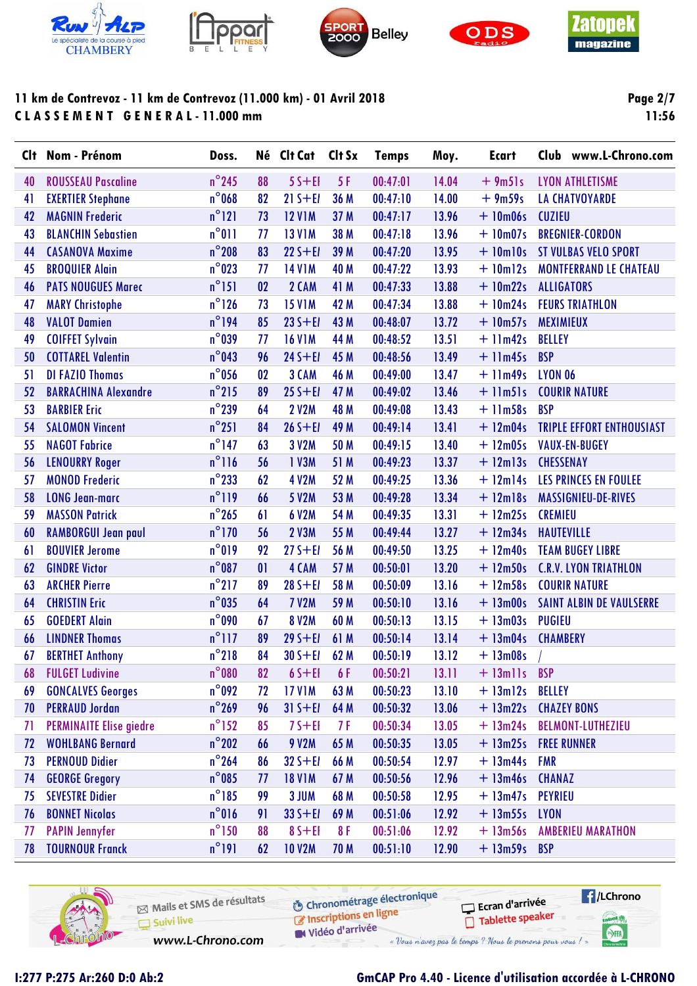









**Page 2/7 11:56**

| $n^{\circ}$ 245<br>88<br>$55 + EI$<br>5 F<br>00:47:01<br>14.04<br>$+9m51s$<br>40<br><b>ROUSSEAU Pascaline</b><br><b>LYON ATHLETISME</b><br>$n^{\circ}$ 068<br>36 M<br><b>EXERTIER Stephane</b><br>82<br>$21 S + E1$<br>00:47:10<br>14.00<br>$+9m59s$<br><b>LA CHATVOYARDE</b><br>41<br>$n^{\circ}$ 121<br>37 M<br>13.96<br>42<br><b>MAGNIN Frederic</b><br>73<br><b>12 V1M</b><br>00:47:17<br>$+10m06s$<br><b>CUZIEU</b><br>$n^{\circ}011$<br><b>13 V1M</b><br>38 M<br>13.96<br>$+10m07s$<br><b>BREGNIER-CORDON</b><br>43<br><b>BLANCHIN Sebastien</b><br>77<br>00:47:18<br>$n^{\circ}$ 208<br>$22S + EI$<br>39 M<br>13.95<br><b>ST VULBAS VELO SPORT</b><br>44<br><b>CASANOVA Maxime</b><br>83<br>00:47:20<br>$+$ 10 $m$ 10s<br>$n^{\circ}$ 023<br>13.93<br>45<br><b>BROQUIER Alain</b><br>77<br><b>14 V1M</b><br>40 M<br>00:47:22<br>$+$ 10m12s<br><b>MONTFERRAND LE CHATEAU</b><br>$n^{\circ}$ 151<br>2 CAM<br>13.88<br>46<br><b>PATS NOUGUES Marec</b><br>02<br>41 M<br>00:47:33<br>$+10m22s$<br><b>ALLIGATORS</b><br>$n^{\circ}$ 126<br><b>15 V1M</b><br>42 M<br>13.88<br>$+10m24s$<br>47<br><b>MARY Christophe</b><br>73<br>00:47:34<br><b>FEURS TRIATHLON</b><br>$n^{\circ}$ 194<br>$23S + EI$<br>43 M<br>48<br><b>VALOT Damien</b><br>85<br>00:48:07<br>13.72<br>$+10m57s$<br><b>MEXIMIEUX</b><br>$n^{\circ}$ 039<br>44 M<br>13.51<br>49<br><b>COIFFET Sylvain</b><br>77<br><b>16 V1M</b><br>00:48:52<br>$+$ 11 $m42s$<br><b>BELLEY</b><br>$n^{\circ}$ 043<br>$24 S + E1$<br>45 M<br>13.49<br>50<br><b>COTTAREL Valentin</b><br>96<br>00:48:56<br>$+$ 11 $m45s$<br><b>BSP</b><br>$n^{\circ}$ 056<br><b>DI FAZIO Thomas</b><br>02<br>3 CAM<br>13.47<br>46 M<br>00:49:00<br>$+$ 11 $m49s$<br><b>LYON 06</b><br>51<br>$n^{\circ}$ 215<br>$25 S + E1$<br>47 M<br>13.46<br><b>BARRACHINA Alexandre</b><br>89<br>00:49:02<br>$+$ 11m51s<br><b>COURIR NATURE</b><br>52<br>$n^{\circ}$ 239<br><b>BARBIER Eric</b><br>64<br><b>2 V2M</b><br>48 M<br>13.43<br><b>BSP</b><br>53<br>00:49:08<br>$+$ 11m58s<br>$n^{\circ}251$<br>$26 S + E1$<br>49 M<br>13.41<br><b>TRIPLE EFFORT ENTHOUSIAST</b><br><b>SALOMON Vincent</b><br>84<br>00:49:14<br>$+ 12m04s$<br>54<br>$n^{\circ}$ 147<br><b>NAGOT Fabrice</b><br>63<br>3 V2M<br>13.40<br>55<br>50 M<br>00:49:15<br>$+ 12m05s$<br><b>VAUX-EN-BUGEY</b><br>$n^{\circ}116$<br>13.37<br><b>LENOURRY Roger</b><br>56<br>1 V3M<br>51 M<br>00:49:23<br>$+$ 12m13s<br><b>CHESSENAY</b><br>56<br>$n^{\circ}$ 233<br><b>MONOD Frederic</b><br>62<br><b>4 V2M</b><br>13.36<br>LES PRINCES EN FOULEE<br>57<br>52 M<br>00:49:25<br>$+$ 12m14s<br>$n^{\circ}$ 119<br>53 M<br>13.34<br><b>LONG Jean-marc</b><br>66<br>5 V2M<br>00:49:28<br>$+ 12$ m $18s$<br>MASSIGNIEU-DE-RIVES<br>58<br>$n^{\circ}$ 265<br><b>MASSON Patrick</b><br>6 V2M<br>54 M<br>13.31<br>$+ 12m25s$<br>59<br>61<br>00:49:35<br><b>CREMIEU</b><br>$n^{\circ}$ 170<br><b>2 V3M</b><br>55 M<br>13.27<br>$+ 12m34s$<br>60<br><b>RAMBORGUI Jean paul</b><br>56<br>00:49:44<br><b>HAUTEVILLE</b><br>n°019<br><b>BOUVIER Jerome</b><br>13.25<br>92<br>$27S + EI$<br>56 M<br>00:49:50<br>$+ 12m40s$<br><b>TEAM BUGEY LIBRE</b><br>61<br>$n^{\circ}087$<br>4 CAM<br>57 M<br>13.20<br><b>GINDRE Victor</b><br>01<br>00:50:01<br>$+ 12m50s$<br><b>C.R.V. LYON TRIATHLON</b><br>62<br>$n^{\circ}$ 217<br>89<br>$28 S + E1$<br>58 M<br>13.16<br><b>COURIR NATURE</b><br>63<br><b>ARCHER Pierre</b><br>00:50:09<br>$+ 12m58s$<br>$n^{\circ}$ 035<br><b>7 V2M</b><br>59 M<br>13.16<br><b>CHRISTIN Eric</b><br>64<br>00:50:10<br>$+ 13 \text{m}$ 00s<br><b>SAINT ALBIN DE VAULSERRE</b><br>64<br>$n^{\circ}090$<br><b>GOEDERT Alain</b><br><b>8 V2M</b><br>13.15<br>65<br>67<br>60 M<br>00:50:13<br>$+ 13m03s$<br><b>PUGIEU</b><br>$n^{\circ}$ 117<br><b>LINDNER Thomas</b><br>89<br>$29S + EI$<br>61 M<br>00:50:14<br>13.14<br>$+ 13m04s$<br><b>CHAMBERY</b><br>66<br>$n^{\circ}$ 218<br>84<br><b>BERTHET Anthony</b><br>$30 S + E1$<br>62 M<br>00:50:19<br>13.12<br>$+ 13m08s$<br>67<br>$n^{\circ}080$<br>13.11<br><b>FULGET Ludivine</b><br>82<br>$65 + EI$<br>6 F<br>00:50:21<br>$+$ 13mlls<br><b>BSP</b><br>68<br>$n^{\circ}$ 092<br><b>17 V1M</b><br>13.10<br>$+ 13ml2s$<br><b>GONCALVES Georges</b><br>72<br>63 M<br>00:50:23<br><b>BELLEY</b><br>69<br>$n^{\circ}$ 269<br><b>PERRAUD Jordan</b><br>96<br>$31 S + E1$<br>64 M<br>00:50:32<br>13.06<br>$+ 13m22s$<br><b>CHAZEY BONS</b><br>70<br>$n^{\circ}$ 152<br>$+ 13m24s$<br><b>PERMINAITE Elise giedre</b><br>85<br>$7S + EI$<br>7 F<br>00:50:34<br>13.05<br><b>BELMONT-LUTHEZIEU</b><br>71<br>$n^{\circ}202$<br><b>WOHLBANG Bernard</b><br>9 V2M<br>65 M<br>00:50:35<br>13.05<br>$+ 13m25s$<br><b>FREE RUNNER</b><br>72<br>66<br>$n^{\circ}$ 264<br><b>PERNOUD Didier</b><br>12.97<br>$+ 13m44s$<br><b>FMR</b><br>86<br>$32 S + E1$<br>66 M<br>00:50:54<br>73<br>$n^{\circ}$ 085<br><b>GEORGE Gregory</b><br><b>18 V1M</b><br>67 M<br>12.96<br>$+ 13m46s$<br>00:50:56<br><b>CHANAZ</b><br>74<br>77<br>$n^{\circ}185$<br><b>SEVESTRE Didier</b><br>99<br>3 JUM<br>12.95<br>68 M<br>00:50:58<br>$+ 13m47s$<br>PEYRIEU<br>75<br>$n^{\circ}016$<br><b>BONNET Nicolas</b><br>$335 + E1$<br>69 M<br>12.92<br>$+ 13m55s$<br><b>LYON</b><br>91<br>00:51:06<br>76<br>$n^{\circ}$ 150<br><b>PAPIN Jennyfer</b><br>88<br>12.92<br>$+ 13m56s$<br>$85 + EI$<br>8 F<br>00:51:06<br><b>AMBERIEU MARATHON</b><br>77<br>$+ 13m59s$ BSP | Clt | Nom - Prénom           | Doss.           |    | Né Clt Cat    | Clt Sx | <b>Temps</b> | Moy.  | <b>Ecart</b> | Club www.L-Chrono.com |
|----------------------------------------------------------------------------------------------------------------------------------------------------------------------------------------------------------------------------------------------------------------------------------------------------------------------------------------------------------------------------------------------------------------------------------------------------------------------------------------------------------------------------------------------------------------------------------------------------------------------------------------------------------------------------------------------------------------------------------------------------------------------------------------------------------------------------------------------------------------------------------------------------------------------------------------------------------------------------------------------------------------------------------------------------------------------------------------------------------------------------------------------------------------------------------------------------------------------------------------------------------------------------------------------------------------------------------------------------------------------------------------------------------------------------------------------------------------------------------------------------------------------------------------------------------------------------------------------------------------------------------------------------------------------------------------------------------------------------------------------------------------------------------------------------------------------------------------------------------------------------------------------------------------------------------------------------------------------------------------------------------------------------------------------------------------------------------------------------------------------------------------------------------------------------------------------------------------------------------------------------------------------------------------------------------------------------------------------------------------------------------------------------------------------------------------------------------------------------------------------------------------------------------------------------------------------------------------------------------------------------------------------------------------------------------------------------------------------------------------------------------------------------------------------------------------------------------------------------------------------------------------------------------------------------------------------------------------------------------------------------------------------------------------------------------------------------------------------------------------------------------------------------------------------------------------------------------------------------------------------------------------------------------------------------------------------------------------------------------------------------------------------------------------------------------------------------------------------------------------------------------------------------------------------------------------------------------------------------------------------------------------------------------------------------------------------------------------------------------------------------------------------------------------------------------------------------------------------------------------------------------------------------------------------------------------------------------------------------------------------------------------------------------------------------------------------------------------------------------------------------------------------------------------------------------------------------------------------------------------------------------------------------------------------------------------------------------------------------------------------------------------------------------------------------------------------------------------------------------------------------------------------------------------------------------------------------------------------------------------------------------------------------------------------------------------------------------------------------------------------------------------------------------------------------------------------------------------------------------------------------------------------------------------------------------------------------------------------------------------------------------------------------------------------------------------------------------------------------------------------------------------------------------------------------------------------------------------------------------------------------------------------------------------------------------------------------------------------------------------------|-----|------------------------|-----------------|----|---------------|--------|--------------|-------|--------------|-----------------------|
|                                                                                                                                                                                                                                                                                                                                                                                                                                                                                                                                                                                                                                                                                                                                                                                                                                                                                                                                                                                                                                                                                                                                                                                                                                                                                                                                                                                                                                                                                                                                                                                                                                                                                                                                                                                                                                                                                                                                                                                                                                                                                                                                                                                                                                                                                                                                                                                                                                                                                                                                                                                                                                                                                                                                                                                                                                                                                                                                                                                                                                                                                                                                                                                                                                                                                                                                                                                                                                                                                                                                                                                                                                                                                                                                                                                                                                                                                                                                                                                                                                                                                                                                                                                                                                                                                                                                                                                                                                                                                                                                                                                                                                                                                                                                                                                                                                                                                                                                                                                                                                                                                                                                                                                                                                                                                                                                                                      |     |                        |                 |    |               |        |              |       |              |                       |
|                                                                                                                                                                                                                                                                                                                                                                                                                                                                                                                                                                                                                                                                                                                                                                                                                                                                                                                                                                                                                                                                                                                                                                                                                                                                                                                                                                                                                                                                                                                                                                                                                                                                                                                                                                                                                                                                                                                                                                                                                                                                                                                                                                                                                                                                                                                                                                                                                                                                                                                                                                                                                                                                                                                                                                                                                                                                                                                                                                                                                                                                                                                                                                                                                                                                                                                                                                                                                                                                                                                                                                                                                                                                                                                                                                                                                                                                                                                                                                                                                                                                                                                                                                                                                                                                                                                                                                                                                                                                                                                                                                                                                                                                                                                                                                                                                                                                                                                                                                                                                                                                                                                                                                                                                                                                                                                                                                      |     |                        |                 |    |               |        |              |       |              |                       |
|                                                                                                                                                                                                                                                                                                                                                                                                                                                                                                                                                                                                                                                                                                                                                                                                                                                                                                                                                                                                                                                                                                                                                                                                                                                                                                                                                                                                                                                                                                                                                                                                                                                                                                                                                                                                                                                                                                                                                                                                                                                                                                                                                                                                                                                                                                                                                                                                                                                                                                                                                                                                                                                                                                                                                                                                                                                                                                                                                                                                                                                                                                                                                                                                                                                                                                                                                                                                                                                                                                                                                                                                                                                                                                                                                                                                                                                                                                                                                                                                                                                                                                                                                                                                                                                                                                                                                                                                                                                                                                                                                                                                                                                                                                                                                                                                                                                                                                                                                                                                                                                                                                                                                                                                                                                                                                                                                                      |     |                        |                 |    |               |        |              |       |              |                       |
|                                                                                                                                                                                                                                                                                                                                                                                                                                                                                                                                                                                                                                                                                                                                                                                                                                                                                                                                                                                                                                                                                                                                                                                                                                                                                                                                                                                                                                                                                                                                                                                                                                                                                                                                                                                                                                                                                                                                                                                                                                                                                                                                                                                                                                                                                                                                                                                                                                                                                                                                                                                                                                                                                                                                                                                                                                                                                                                                                                                                                                                                                                                                                                                                                                                                                                                                                                                                                                                                                                                                                                                                                                                                                                                                                                                                                                                                                                                                                                                                                                                                                                                                                                                                                                                                                                                                                                                                                                                                                                                                                                                                                                                                                                                                                                                                                                                                                                                                                                                                                                                                                                                                                                                                                                                                                                                                                                      |     |                        |                 |    |               |        |              |       |              |                       |
|                                                                                                                                                                                                                                                                                                                                                                                                                                                                                                                                                                                                                                                                                                                                                                                                                                                                                                                                                                                                                                                                                                                                                                                                                                                                                                                                                                                                                                                                                                                                                                                                                                                                                                                                                                                                                                                                                                                                                                                                                                                                                                                                                                                                                                                                                                                                                                                                                                                                                                                                                                                                                                                                                                                                                                                                                                                                                                                                                                                                                                                                                                                                                                                                                                                                                                                                                                                                                                                                                                                                                                                                                                                                                                                                                                                                                                                                                                                                                                                                                                                                                                                                                                                                                                                                                                                                                                                                                                                                                                                                                                                                                                                                                                                                                                                                                                                                                                                                                                                                                                                                                                                                                                                                                                                                                                                                                                      |     |                        |                 |    |               |        |              |       |              |                       |
|                                                                                                                                                                                                                                                                                                                                                                                                                                                                                                                                                                                                                                                                                                                                                                                                                                                                                                                                                                                                                                                                                                                                                                                                                                                                                                                                                                                                                                                                                                                                                                                                                                                                                                                                                                                                                                                                                                                                                                                                                                                                                                                                                                                                                                                                                                                                                                                                                                                                                                                                                                                                                                                                                                                                                                                                                                                                                                                                                                                                                                                                                                                                                                                                                                                                                                                                                                                                                                                                                                                                                                                                                                                                                                                                                                                                                                                                                                                                                                                                                                                                                                                                                                                                                                                                                                                                                                                                                                                                                                                                                                                                                                                                                                                                                                                                                                                                                                                                                                                                                                                                                                                                                                                                                                                                                                                                                                      |     |                        |                 |    |               |        |              |       |              |                       |
|                                                                                                                                                                                                                                                                                                                                                                                                                                                                                                                                                                                                                                                                                                                                                                                                                                                                                                                                                                                                                                                                                                                                                                                                                                                                                                                                                                                                                                                                                                                                                                                                                                                                                                                                                                                                                                                                                                                                                                                                                                                                                                                                                                                                                                                                                                                                                                                                                                                                                                                                                                                                                                                                                                                                                                                                                                                                                                                                                                                                                                                                                                                                                                                                                                                                                                                                                                                                                                                                                                                                                                                                                                                                                                                                                                                                                                                                                                                                                                                                                                                                                                                                                                                                                                                                                                                                                                                                                                                                                                                                                                                                                                                                                                                                                                                                                                                                                                                                                                                                                                                                                                                                                                                                                                                                                                                                                                      |     |                        |                 |    |               |        |              |       |              |                       |
|                                                                                                                                                                                                                                                                                                                                                                                                                                                                                                                                                                                                                                                                                                                                                                                                                                                                                                                                                                                                                                                                                                                                                                                                                                                                                                                                                                                                                                                                                                                                                                                                                                                                                                                                                                                                                                                                                                                                                                                                                                                                                                                                                                                                                                                                                                                                                                                                                                                                                                                                                                                                                                                                                                                                                                                                                                                                                                                                                                                                                                                                                                                                                                                                                                                                                                                                                                                                                                                                                                                                                                                                                                                                                                                                                                                                                                                                                                                                                                                                                                                                                                                                                                                                                                                                                                                                                                                                                                                                                                                                                                                                                                                                                                                                                                                                                                                                                                                                                                                                                                                                                                                                                                                                                                                                                                                                                                      |     |                        |                 |    |               |        |              |       |              |                       |
|                                                                                                                                                                                                                                                                                                                                                                                                                                                                                                                                                                                                                                                                                                                                                                                                                                                                                                                                                                                                                                                                                                                                                                                                                                                                                                                                                                                                                                                                                                                                                                                                                                                                                                                                                                                                                                                                                                                                                                                                                                                                                                                                                                                                                                                                                                                                                                                                                                                                                                                                                                                                                                                                                                                                                                                                                                                                                                                                                                                                                                                                                                                                                                                                                                                                                                                                                                                                                                                                                                                                                                                                                                                                                                                                                                                                                                                                                                                                                                                                                                                                                                                                                                                                                                                                                                                                                                                                                                                                                                                                                                                                                                                                                                                                                                                                                                                                                                                                                                                                                                                                                                                                                                                                                                                                                                                                                                      |     |                        |                 |    |               |        |              |       |              |                       |
|                                                                                                                                                                                                                                                                                                                                                                                                                                                                                                                                                                                                                                                                                                                                                                                                                                                                                                                                                                                                                                                                                                                                                                                                                                                                                                                                                                                                                                                                                                                                                                                                                                                                                                                                                                                                                                                                                                                                                                                                                                                                                                                                                                                                                                                                                                                                                                                                                                                                                                                                                                                                                                                                                                                                                                                                                                                                                                                                                                                                                                                                                                                                                                                                                                                                                                                                                                                                                                                                                                                                                                                                                                                                                                                                                                                                                                                                                                                                                                                                                                                                                                                                                                                                                                                                                                                                                                                                                                                                                                                                                                                                                                                                                                                                                                                                                                                                                                                                                                                                                                                                                                                                                                                                                                                                                                                                                                      |     |                        |                 |    |               |        |              |       |              |                       |
|                                                                                                                                                                                                                                                                                                                                                                                                                                                                                                                                                                                                                                                                                                                                                                                                                                                                                                                                                                                                                                                                                                                                                                                                                                                                                                                                                                                                                                                                                                                                                                                                                                                                                                                                                                                                                                                                                                                                                                                                                                                                                                                                                                                                                                                                                                                                                                                                                                                                                                                                                                                                                                                                                                                                                                                                                                                                                                                                                                                                                                                                                                                                                                                                                                                                                                                                                                                                                                                                                                                                                                                                                                                                                                                                                                                                                                                                                                                                                                                                                                                                                                                                                                                                                                                                                                                                                                                                                                                                                                                                                                                                                                                                                                                                                                                                                                                                                                                                                                                                                                                                                                                                                                                                                                                                                                                                                                      |     |                        |                 |    |               |        |              |       |              |                       |
|                                                                                                                                                                                                                                                                                                                                                                                                                                                                                                                                                                                                                                                                                                                                                                                                                                                                                                                                                                                                                                                                                                                                                                                                                                                                                                                                                                                                                                                                                                                                                                                                                                                                                                                                                                                                                                                                                                                                                                                                                                                                                                                                                                                                                                                                                                                                                                                                                                                                                                                                                                                                                                                                                                                                                                                                                                                                                                                                                                                                                                                                                                                                                                                                                                                                                                                                                                                                                                                                                                                                                                                                                                                                                                                                                                                                                                                                                                                                                                                                                                                                                                                                                                                                                                                                                                                                                                                                                                                                                                                                                                                                                                                                                                                                                                                                                                                                                                                                                                                                                                                                                                                                                                                                                                                                                                                                                                      |     |                        |                 |    |               |        |              |       |              |                       |
|                                                                                                                                                                                                                                                                                                                                                                                                                                                                                                                                                                                                                                                                                                                                                                                                                                                                                                                                                                                                                                                                                                                                                                                                                                                                                                                                                                                                                                                                                                                                                                                                                                                                                                                                                                                                                                                                                                                                                                                                                                                                                                                                                                                                                                                                                                                                                                                                                                                                                                                                                                                                                                                                                                                                                                                                                                                                                                                                                                                                                                                                                                                                                                                                                                                                                                                                                                                                                                                                                                                                                                                                                                                                                                                                                                                                                                                                                                                                                                                                                                                                                                                                                                                                                                                                                                                                                                                                                                                                                                                                                                                                                                                                                                                                                                                                                                                                                                                                                                                                                                                                                                                                                                                                                                                                                                                                                                      |     |                        |                 |    |               |        |              |       |              |                       |
|                                                                                                                                                                                                                                                                                                                                                                                                                                                                                                                                                                                                                                                                                                                                                                                                                                                                                                                                                                                                                                                                                                                                                                                                                                                                                                                                                                                                                                                                                                                                                                                                                                                                                                                                                                                                                                                                                                                                                                                                                                                                                                                                                                                                                                                                                                                                                                                                                                                                                                                                                                                                                                                                                                                                                                                                                                                                                                                                                                                                                                                                                                                                                                                                                                                                                                                                                                                                                                                                                                                                                                                                                                                                                                                                                                                                                                                                                                                                                                                                                                                                                                                                                                                                                                                                                                                                                                                                                                                                                                                                                                                                                                                                                                                                                                                                                                                                                                                                                                                                                                                                                                                                                                                                                                                                                                                                                                      |     |                        |                 |    |               |        |              |       |              |                       |
|                                                                                                                                                                                                                                                                                                                                                                                                                                                                                                                                                                                                                                                                                                                                                                                                                                                                                                                                                                                                                                                                                                                                                                                                                                                                                                                                                                                                                                                                                                                                                                                                                                                                                                                                                                                                                                                                                                                                                                                                                                                                                                                                                                                                                                                                                                                                                                                                                                                                                                                                                                                                                                                                                                                                                                                                                                                                                                                                                                                                                                                                                                                                                                                                                                                                                                                                                                                                                                                                                                                                                                                                                                                                                                                                                                                                                                                                                                                                                                                                                                                                                                                                                                                                                                                                                                                                                                                                                                                                                                                                                                                                                                                                                                                                                                                                                                                                                                                                                                                                                                                                                                                                                                                                                                                                                                                                                                      |     |                        |                 |    |               |        |              |       |              |                       |
|                                                                                                                                                                                                                                                                                                                                                                                                                                                                                                                                                                                                                                                                                                                                                                                                                                                                                                                                                                                                                                                                                                                                                                                                                                                                                                                                                                                                                                                                                                                                                                                                                                                                                                                                                                                                                                                                                                                                                                                                                                                                                                                                                                                                                                                                                                                                                                                                                                                                                                                                                                                                                                                                                                                                                                                                                                                                                                                                                                                                                                                                                                                                                                                                                                                                                                                                                                                                                                                                                                                                                                                                                                                                                                                                                                                                                                                                                                                                                                                                                                                                                                                                                                                                                                                                                                                                                                                                                                                                                                                                                                                                                                                                                                                                                                                                                                                                                                                                                                                                                                                                                                                                                                                                                                                                                                                                                                      |     |                        |                 |    |               |        |              |       |              |                       |
|                                                                                                                                                                                                                                                                                                                                                                                                                                                                                                                                                                                                                                                                                                                                                                                                                                                                                                                                                                                                                                                                                                                                                                                                                                                                                                                                                                                                                                                                                                                                                                                                                                                                                                                                                                                                                                                                                                                                                                                                                                                                                                                                                                                                                                                                                                                                                                                                                                                                                                                                                                                                                                                                                                                                                                                                                                                                                                                                                                                                                                                                                                                                                                                                                                                                                                                                                                                                                                                                                                                                                                                                                                                                                                                                                                                                                                                                                                                                                                                                                                                                                                                                                                                                                                                                                                                                                                                                                                                                                                                                                                                                                                                                                                                                                                                                                                                                                                                                                                                                                                                                                                                                                                                                                                                                                                                                                                      |     |                        |                 |    |               |        |              |       |              |                       |
|                                                                                                                                                                                                                                                                                                                                                                                                                                                                                                                                                                                                                                                                                                                                                                                                                                                                                                                                                                                                                                                                                                                                                                                                                                                                                                                                                                                                                                                                                                                                                                                                                                                                                                                                                                                                                                                                                                                                                                                                                                                                                                                                                                                                                                                                                                                                                                                                                                                                                                                                                                                                                                                                                                                                                                                                                                                                                                                                                                                                                                                                                                                                                                                                                                                                                                                                                                                                                                                                                                                                                                                                                                                                                                                                                                                                                                                                                                                                                                                                                                                                                                                                                                                                                                                                                                                                                                                                                                                                                                                                                                                                                                                                                                                                                                                                                                                                                                                                                                                                                                                                                                                                                                                                                                                                                                                                                                      |     |                        |                 |    |               |        |              |       |              |                       |
|                                                                                                                                                                                                                                                                                                                                                                                                                                                                                                                                                                                                                                                                                                                                                                                                                                                                                                                                                                                                                                                                                                                                                                                                                                                                                                                                                                                                                                                                                                                                                                                                                                                                                                                                                                                                                                                                                                                                                                                                                                                                                                                                                                                                                                                                                                                                                                                                                                                                                                                                                                                                                                                                                                                                                                                                                                                                                                                                                                                                                                                                                                                                                                                                                                                                                                                                                                                                                                                                                                                                                                                                                                                                                                                                                                                                                                                                                                                                                                                                                                                                                                                                                                                                                                                                                                                                                                                                                                                                                                                                                                                                                                                                                                                                                                                                                                                                                                                                                                                                                                                                                                                                                                                                                                                                                                                                                                      |     |                        |                 |    |               |        |              |       |              |                       |
|                                                                                                                                                                                                                                                                                                                                                                                                                                                                                                                                                                                                                                                                                                                                                                                                                                                                                                                                                                                                                                                                                                                                                                                                                                                                                                                                                                                                                                                                                                                                                                                                                                                                                                                                                                                                                                                                                                                                                                                                                                                                                                                                                                                                                                                                                                                                                                                                                                                                                                                                                                                                                                                                                                                                                                                                                                                                                                                                                                                                                                                                                                                                                                                                                                                                                                                                                                                                                                                                                                                                                                                                                                                                                                                                                                                                                                                                                                                                                                                                                                                                                                                                                                                                                                                                                                                                                                                                                                                                                                                                                                                                                                                                                                                                                                                                                                                                                                                                                                                                                                                                                                                                                                                                                                                                                                                                                                      |     |                        |                 |    |               |        |              |       |              |                       |
|                                                                                                                                                                                                                                                                                                                                                                                                                                                                                                                                                                                                                                                                                                                                                                                                                                                                                                                                                                                                                                                                                                                                                                                                                                                                                                                                                                                                                                                                                                                                                                                                                                                                                                                                                                                                                                                                                                                                                                                                                                                                                                                                                                                                                                                                                                                                                                                                                                                                                                                                                                                                                                                                                                                                                                                                                                                                                                                                                                                                                                                                                                                                                                                                                                                                                                                                                                                                                                                                                                                                                                                                                                                                                                                                                                                                                                                                                                                                                                                                                                                                                                                                                                                                                                                                                                                                                                                                                                                                                                                                                                                                                                                                                                                                                                                                                                                                                                                                                                                                                                                                                                                                                                                                                                                                                                                                                                      |     |                        |                 |    |               |        |              |       |              |                       |
|                                                                                                                                                                                                                                                                                                                                                                                                                                                                                                                                                                                                                                                                                                                                                                                                                                                                                                                                                                                                                                                                                                                                                                                                                                                                                                                                                                                                                                                                                                                                                                                                                                                                                                                                                                                                                                                                                                                                                                                                                                                                                                                                                                                                                                                                                                                                                                                                                                                                                                                                                                                                                                                                                                                                                                                                                                                                                                                                                                                                                                                                                                                                                                                                                                                                                                                                                                                                                                                                                                                                                                                                                                                                                                                                                                                                                                                                                                                                                                                                                                                                                                                                                                                                                                                                                                                                                                                                                                                                                                                                                                                                                                                                                                                                                                                                                                                                                                                                                                                                                                                                                                                                                                                                                                                                                                                                                                      |     |                        |                 |    |               |        |              |       |              |                       |
|                                                                                                                                                                                                                                                                                                                                                                                                                                                                                                                                                                                                                                                                                                                                                                                                                                                                                                                                                                                                                                                                                                                                                                                                                                                                                                                                                                                                                                                                                                                                                                                                                                                                                                                                                                                                                                                                                                                                                                                                                                                                                                                                                                                                                                                                                                                                                                                                                                                                                                                                                                                                                                                                                                                                                                                                                                                                                                                                                                                                                                                                                                                                                                                                                                                                                                                                                                                                                                                                                                                                                                                                                                                                                                                                                                                                                                                                                                                                                                                                                                                                                                                                                                                                                                                                                                                                                                                                                                                                                                                                                                                                                                                                                                                                                                                                                                                                                                                                                                                                                                                                                                                                                                                                                                                                                                                                                                      |     |                        |                 |    |               |        |              |       |              |                       |
|                                                                                                                                                                                                                                                                                                                                                                                                                                                                                                                                                                                                                                                                                                                                                                                                                                                                                                                                                                                                                                                                                                                                                                                                                                                                                                                                                                                                                                                                                                                                                                                                                                                                                                                                                                                                                                                                                                                                                                                                                                                                                                                                                                                                                                                                                                                                                                                                                                                                                                                                                                                                                                                                                                                                                                                                                                                                                                                                                                                                                                                                                                                                                                                                                                                                                                                                                                                                                                                                                                                                                                                                                                                                                                                                                                                                                                                                                                                                                                                                                                                                                                                                                                                                                                                                                                                                                                                                                                                                                                                                                                                                                                                                                                                                                                                                                                                                                                                                                                                                                                                                                                                                                                                                                                                                                                                                                                      |     |                        |                 |    |               |        |              |       |              |                       |
|                                                                                                                                                                                                                                                                                                                                                                                                                                                                                                                                                                                                                                                                                                                                                                                                                                                                                                                                                                                                                                                                                                                                                                                                                                                                                                                                                                                                                                                                                                                                                                                                                                                                                                                                                                                                                                                                                                                                                                                                                                                                                                                                                                                                                                                                                                                                                                                                                                                                                                                                                                                                                                                                                                                                                                                                                                                                                                                                                                                                                                                                                                                                                                                                                                                                                                                                                                                                                                                                                                                                                                                                                                                                                                                                                                                                                                                                                                                                                                                                                                                                                                                                                                                                                                                                                                                                                                                                                                                                                                                                                                                                                                                                                                                                                                                                                                                                                                                                                                                                                                                                                                                                                                                                                                                                                                                                                                      |     |                        |                 |    |               |        |              |       |              |                       |
|                                                                                                                                                                                                                                                                                                                                                                                                                                                                                                                                                                                                                                                                                                                                                                                                                                                                                                                                                                                                                                                                                                                                                                                                                                                                                                                                                                                                                                                                                                                                                                                                                                                                                                                                                                                                                                                                                                                                                                                                                                                                                                                                                                                                                                                                                                                                                                                                                                                                                                                                                                                                                                                                                                                                                                                                                                                                                                                                                                                                                                                                                                                                                                                                                                                                                                                                                                                                                                                                                                                                                                                                                                                                                                                                                                                                                                                                                                                                                                                                                                                                                                                                                                                                                                                                                                                                                                                                                                                                                                                                                                                                                                                                                                                                                                                                                                                                                                                                                                                                                                                                                                                                                                                                                                                                                                                                                                      |     |                        |                 |    |               |        |              |       |              |                       |
|                                                                                                                                                                                                                                                                                                                                                                                                                                                                                                                                                                                                                                                                                                                                                                                                                                                                                                                                                                                                                                                                                                                                                                                                                                                                                                                                                                                                                                                                                                                                                                                                                                                                                                                                                                                                                                                                                                                                                                                                                                                                                                                                                                                                                                                                                                                                                                                                                                                                                                                                                                                                                                                                                                                                                                                                                                                                                                                                                                                                                                                                                                                                                                                                                                                                                                                                                                                                                                                                                                                                                                                                                                                                                                                                                                                                                                                                                                                                                                                                                                                                                                                                                                                                                                                                                                                                                                                                                                                                                                                                                                                                                                                                                                                                                                                                                                                                                                                                                                                                                                                                                                                                                                                                                                                                                                                                                                      |     |                        |                 |    |               |        |              |       |              |                       |
|                                                                                                                                                                                                                                                                                                                                                                                                                                                                                                                                                                                                                                                                                                                                                                                                                                                                                                                                                                                                                                                                                                                                                                                                                                                                                                                                                                                                                                                                                                                                                                                                                                                                                                                                                                                                                                                                                                                                                                                                                                                                                                                                                                                                                                                                                                                                                                                                                                                                                                                                                                                                                                                                                                                                                                                                                                                                                                                                                                                                                                                                                                                                                                                                                                                                                                                                                                                                                                                                                                                                                                                                                                                                                                                                                                                                                                                                                                                                                                                                                                                                                                                                                                                                                                                                                                                                                                                                                                                                                                                                                                                                                                                                                                                                                                                                                                                                                                                                                                                                                                                                                                                                                                                                                                                                                                                                                                      |     |                        |                 |    |               |        |              |       |              |                       |
|                                                                                                                                                                                                                                                                                                                                                                                                                                                                                                                                                                                                                                                                                                                                                                                                                                                                                                                                                                                                                                                                                                                                                                                                                                                                                                                                                                                                                                                                                                                                                                                                                                                                                                                                                                                                                                                                                                                                                                                                                                                                                                                                                                                                                                                                                                                                                                                                                                                                                                                                                                                                                                                                                                                                                                                                                                                                                                                                                                                                                                                                                                                                                                                                                                                                                                                                                                                                                                                                                                                                                                                                                                                                                                                                                                                                                                                                                                                                                                                                                                                                                                                                                                                                                                                                                                                                                                                                                                                                                                                                                                                                                                                                                                                                                                                                                                                                                                                                                                                                                                                                                                                                                                                                                                                                                                                                                                      |     |                        |                 |    |               |        |              |       |              |                       |
|                                                                                                                                                                                                                                                                                                                                                                                                                                                                                                                                                                                                                                                                                                                                                                                                                                                                                                                                                                                                                                                                                                                                                                                                                                                                                                                                                                                                                                                                                                                                                                                                                                                                                                                                                                                                                                                                                                                                                                                                                                                                                                                                                                                                                                                                                                                                                                                                                                                                                                                                                                                                                                                                                                                                                                                                                                                                                                                                                                                                                                                                                                                                                                                                                                                                                                                                                                                                                                                                                                                                                                                                                                                                                                                                                                                                                                                                                                                                                                                                                                                                                                                                                                                                                                                                                                                                                                                                                                                                                                                                                                                                                                                                                                                                                                                                                                                                                                                                                                                                                                                                                                                                                                                                                                                                                                                                                                      |     |                        |                 |    |               |        |              |       |              |                       |
|                                                                                                                                                                                                                                                                                                                                                                                                                                                                                                                                                                                                                                                                                                                                                                                                                                                                                                                                                                                                                                                                                                                                                                                                                                                                                                                                                                                                                                                                                                                                                                                                                                                                                                                                                                                                                                                                                                                                                                                                                                                                                                                                                                                                                                                                                                                                                                                                                                                                                                                                                                                                                                                                                                                                                                                                                                                                                                                                                                                                                                                                                                                                                                                                                                                                                                                                                                                                                                                                                                                                                                                                                                                                                                                                                                                                                                                                                                                                                                                                                                                                                                                                                                                                                                                                                                                                                                                                                                                                                                                                                                                                                                                                                                                                                                                                                                                                                                                                                                                                                                                                                                                                                                                                                                                                                                                                                                      |     |                        |                 |    |               |        |              |       |              |                       |
|                                                                                                                                                                                                                                                                                                                                                                                                                                                                                                                                                                                                                                                                                                                                                                                                                                                                                                                                                                                                                                                                                                                                                                                                                                                                                                                                                                                                                                                                                                                                                                                                                                                                                                                                                                                                                                                                                                                                                                                                                                                                                                                                                                                                                                                                                                                                                                                                                                                                                                                                                                                                                                                                                                                                                                                                                                                                                                                                                                                                                                                                                                                                                                                                                                                                                                                                                                                                                                                                                                                                                                                                                                                                                                                                                                                                                                                                                                                                                                                                                                                                                                                                                                                                                                                                                                                                                                                                                                                                                                                                                                                                                                                                                                                                                                                                                                                                                                                                                                                                                                                                                                                                                                                                                                                                                                                                                                      |     |                        |                 |    |               |        |              |       |              |                       |
|                                                                                                                                                                                                                                                                                                                                                                                                                                                                                                                                                                                                                                                                                                                                                                                                                                                                                                                                                                                                                                                                                                                                                                                                                                                                                                                                                                                                                                                                                                                                                                                                                                                                                                                                                                                                                                                                                                                                                                                                                                                                                                                                                                                                                                                                                                                                                                                                                                                                                                                                                                                                                                                                                                                                                                                                                                                                                                                                                                                                                                                                                                                                                                                                                                                                                                                                                                                                                                                                                                                                                                                                                                                                                                                                                                                                                                                                                                                                                                                                                                                                                                                                                                                                                                                                                                                                                                                                                                                                                                                                                                                                                                                                                                                                                                                                                                                                                                                                                                                                                                                                                                                                                                                                                                                                                                                                                                      |     |                        |                 |    |               |        |              |       |              |                       |
|                                                                                                                                                                                                                                                                                                                                                                                                                                                                                                                                                                                                                                                                                                                                                                                                                                                                                                                                                                                                                                                                                                                                                                                                                                                                                                                                                                                                                                                                                                                                                                                                                                                                                                                                                                                                                                                                                                                                                                                                                                                                                                                                                                                                                                                                                                                                                                                                                                                                                                                                                                                                                                                                                                                                                                                                                                                                                                                                                                                                                                                                                                                                                                                                                                                                                                                                                                                                                                                                                                                                                                                                                                                                                                                                                                                                                                                                                                                                                                                                                                                                                                                                                                                                                                                                                                                                                                                                                                                                                                                                                                                                                                                                                                                                                                                                                                                                                                                                                                                                                                                                                                                                                                                                                                                                                                                                                                      |     |                        |                 |    |               |        |              |       |              |                       |
|                                                                                                                                                                                                                                                                                                                                                                                                                                                                                                                                                                                                                                                                                                                                                                                                                                                                                                                                                                                                                                                                                                                                                                                                                                                                                                                                                                                                                                                                                                                                                                                                                                                                                                                                                                                                                                                                                                                                                                                                                                                                                                                                                                                                                                                                                                                                                                                                                                                                                                                                                                                                                                                                                                                                                                                                                                                                                                                                                                                                                                                                                                                                                                                                                                                                                                                                                                                                                                                                                                                                                                                                                                                                                                                                                                                                                                                                                                                                                                                                                                                                                                                                                                                                                                                                                                                                                                                                                                                                                                                                                                                                                                                                                                                                                                                                                                                                                                                                                                                                                                                                                                                                                                                                                                                                                                                                                                      |     |                        |                 |    |               |        |              |       |              |                       |
|                                                                                                                                                                                                                                                                                                                                                                                                                                                                                                                                                                                                                                                                                                                                                                                                                                                                                                                                                                                                                                                                                                                                                                                                                                                                                                                                                                                                                                                                                                                                                                                                                                                                                                                                                                                                                                                                                                                                                                                                                                                                                                                                                                                                                                                                                                                                                                                                                                                                                                                                                                                                                                                                                                                                                                                                                                                                                                                                                                                                                                                                                                                                                                                                                                                                                                                                                                                                                                                                                                                                                                                                                                                                                                                                                                                                                                                                                                                                                                                                                                                                                                                                                                                                                                                                                                                                                                                                                                                                                                                                                                                                                                                                                                                                                                                                                                                                                                                                                                                                                                                                                                                                                                                                                                                                                                                                                                      |     |                        |                 |    |               |        |              |       |              |                       |
|                                                                                                                                                                                                                                                                                                                                                                                                                                                                                                                                                                                                                                                                                                                                                                                                                                                                                                                                                                                                                                                                                                                                                                                                                                                                                                                                                                                                                                                                                                                                                                                                                                                                                                                                                                                                                                                                                                                                                                                                                                                                                                                                                                                                                                                                                                                                                                                                                                                                                                                                                                                                                                                                                                                                                                                                                                                                                                                                                                                                                                                                                                                                                                                                                                                                                                                                                                                                                                                                                                                                                                                                                                                                                                                                                                                                                                                                                                                                                                                                                                                                                                                                                                                                                                                                                                                                                                                                                                                                                                                                                                                                                                                                                                                                                                                                                                                                                                                                                                                                                                                                                                                                                                                                                                                                                                                                                                      |     |                        |                 |    |               |        |              |       |              |                       |
|                                                                                                                                                                                                                                                                                                                                                                                                                                                                                                                                                                                                                                                                                                                                                                                                                                                                                                                                                                                                                                                                                                                                                                                                                                                                                                                                                                                                                                                                                                                                                                                                                                                                                                                                                                                                                                                                                                                                                                                                                                                                                                                                                                                                                                                                                                                                                                                                                                                                                                                                                                                                                                                                                                                                                                                                                                                                                                                                                                                                                                                                                                                                                                                                                                                                                                                                                                                                                                                                                                                                                                                                                                                                                                                                                                                                                                                                                                                                                                                                                                                                                                                                                                                                                                                                                                                                                                                                                                                                                                                                                                                                                                                                                                                                                                                                                                                                                                                                                                                                                                                                                                                                                                                                                                                                                                                                                                      |     |                        |                 |    |               |        |              |       |              |                       |
|                                                                                                                                                                                                                                                                                                                                                                                                                                                                                                                                                                                                                                                                                                                                                                                                                                                                                                                                                                                                                                                                                                                                                                                                                                                                                                                                                                                                                                                                                                                                                                                                                                                                                                                                                                                                                                                                                                                                                                                                                                                                                                                                                                                                                                                                                                                                                                                                                                                                                                                                                                                                                                                                                                                                                                                                                                                                                                                                                                                                                                                                                                                                                                                                                                                                                                                                                                                                                                                                                                                                                                                                                                                                                                                                                                                                                                                                                                                                                                                                                                                                                                                                                                                                                                                                                                                                                                                                                                                                                                                                                                                                                                                                                                                                                                                                                                                                                                                                                                                                                                                                                                                                                                                                                                                                                                                                                                      | 78  | <b>TOURNOUR Franck</b> | $n^{\circ}$ 191 | 62 | <b>10 V2M</b> | 70 M   | 00:51:10     | 12.90 |              |                       |

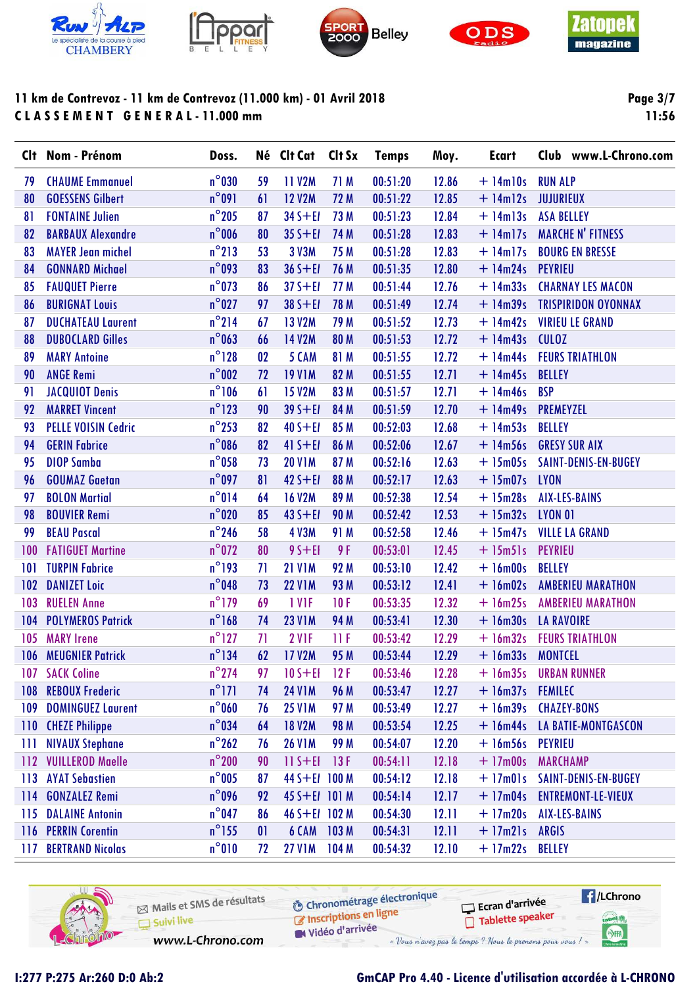









**Page 3/7** 11:56

|     | Clt Nom - Prénom           | Doss.           |    | Né Clt Cat Clt Sx |             | <b>Temps</b> | Moy.  | <b>Ecart</b>   | Club www.L-Chrono.com      |
|-----|----------------------------|-----------------|----|-------------------|-------------|--------------|-------|----------------|----------------------------|
| 79  | <b>CHAUME Emmanuel</b>     | $n^{\circ}$ 030 | 59 | 11 V2M            | 71 M        | 00:51:20     | 12.86 | $+ 14$ m $10s$ | <b>RUN ALP</b>             |
| 80  | <b>GOESSENS Gilbert</b>    | $n^{\circ}091$  | 61 | <b>12 V2M</b>     | 72 M        | 00:51:22     | 12.85 | $+$ 14m12s     | <b>JUJURIEUX</b>           |
| 81  | <b>FONTAINE Julien</b>     | $n^{\circ}$ 205 | 87 | $34 S + E1$       | 73 M        | 00:51:23     | 12.84 | $+$ 14m13s     | <b>ASA BELLEY</b>          |
| 82  | <b>BARBAUX Alexandre</b>   | $n^{\circ}$ 006 | 80 | $35 S + E1$       | 74 M        | 00:51:28     | 12.83 | $+$ 14m17s     | <b>MARCHE N' FITNESS</b>   |
| 83  | <b>MAYER Jean michel</b>   | $n^{\circ}$ 213 | 53 | 3 V3M             | 75 M        | 00:51:28     | 12.83 | $+$ 14m17s     | <b>BOURG EN BRESSE</b>     |
| 84  | <b>GONNARD Michael</b>     | $n^{\circ}$ 093 | 83 | $36 S + E1$       | 76 M        | 00:51:35     | 12.80 | $+ 14m24s$     | <b>PEYRIEU</b>             |
| 85  | <b>FAUQUET Pierre</b>      | $n^{\circ}$ 073 | 86 | $37 S + E1$       | 77 M        | 00:51:44     | 12.76 | $+14m33s$      | <b>CHARNAY LES MACON</b>   |
| 86  | <b>BURIGNAT Louis</b>      | $n^{\circ}$ 027 | 97 | $38S + EI$        | 78 M        | 00:51:49     | 12.74 | $+ 14m39s$     | <b>TRISPIRIDON OYONNAX</b> |
| 87  | <b>DUCHATEAU Laurent</b>   | $n^{\circ}$ 214 | 67 | <b>13 V2M</b>     | 79 M        | 00:51:52     | 12.73 | $+ 14m42s$     | <b>VIRIEU LE GRAND</b>     |
| 88  | <b>DUBOCLARD Gilles</b>    | $n^{\circ}$ 063 | 66 | <b>14 V2M</b>     | <b>80 M</b> | 00:51:53     | 12.72 | $+ 14m43s$     | <b>CULOZ</b>               |
| 89  | <b>MARY Antoine</b>        | $n^{\circ}$ 128 | 02 | 5 CAM             | 81 M        | 00:51:55     | 12.72 | $+$ 14m44s     | <b>FEURS TRIATHLON</b>     |
| 90  | <b>ANGE Remi</b>           | $n^{\circ}$ 002 | 72 | <b>19 V1M</b>     | 82 M        | 00:51:55     | 12.71 | $+ 14m45s$     | <b>BELLEY</b>              |
| 91  | <b>JACQUIOT Denis</b>      | $n^{\circ}106$  | 61 | <b>15 V2M</b>     | 83 M        | 00:51:57     | 12.71 | $+ 14m46s$     | <b>BSP</b>                 |
| 92  | <b>MARRET Vincent</b>      | $n^{\circ}$ 123 | 90 | $39 S + E1$       | 84 M        | 00:51:59     | 12.70 | $+ 14m49s$     | <b>PREMEYZEL</b>           |
| 93  | <b>PELLE VOISIN Cedric</b> | $n^{\circ}$ 253 | 82 | $40 S + EI$       | 85 M        | 00:52:03     | 12.68 | $+ 14m53s$     | <b>BELLEY</b>              |
| 94  | <b>GERIN Fabrice</b>       | $n^{\circ}$ 086 | 82 | $41 S + E1$       | 86 M        | 00:52:06     | 12.67 | $+ 14m56s$     | <b>GRESY SUR AIX</b>       |
| 95  | <b>DIOP Samba</b>          | $n^{\circ}$ 058 | 73 | <b>20 V1M</b>     | 87 M        | 00:52:16     | 12.63 | $+15m05s$      | SAINT-DENIS-EN-BUGEY       |
| 96  | <b>GOUMAZ Gaetan</b>       | $n^{\circ}$ 097 | 81 | $42 S + E1$       | 88 M        | 00:52:17     | 12.63 | $+ 15m07s$     | <b>LYON</b>                |
| 97  | <b>BOLON Martial</b>       | $n^{\circ}014$  | 64 | <b>16 V2M</b>     | 89 M        | 00:52:38     | 12.54 | $+15m28s$      | <b>AIX-LES-BAINS</b>       |
| 98  | <b>BOUVIER Remi</b>        | $n^{\circ}$ 020 | 85 | $43 S + E1$       | <b>90 M</b> | 00:52:42     | 12.53 | $+ 15m32s$     | <b>LYON 01</b>             |
| 99  | <b>BEAU Pascal</b>         | $n^{\circ}$ 246 | 58 | <b>4 V3M</b>      | 91 M        | 00:52:58     | 12.46 | $+ 15m47s$     | <b>VILLE LA GRAND</b>      |
| 100 | <b>FATIGUET Martine</b>    | $n^{\circ}$ 072 | 80 | $95 + EI$         | 9 F         | 00:53:01     | 12.45 | $+ 15m51s$     | <b>PEYRIEU</b>             |
| 101 | <b>TURPIN Fabrice</b>      | $n^{\circ}$ 193 | 71 | <b>21 V1M</b>     | 92 M        | 00:53:10     | 12.42 | $+16m00s$      | <b>BELLEY</b>              |
| 102 | <b>DANIZET Loic</b>        | $n^{\circ}$ 048 | 73 | <b>22 V1M</b>     | 93 M        | 00:53:12     | 12.41 | $+ 16m02s$     | <b>AMBERIEU MARATHON</b>   |
| 103 | <b>RUELEN Anne</b>         | $n^{\circ}$ 179 | 69 | 1 VIF             | 10F         | 00:53:35     | 12.32 | $+ 16m25s$     | <b>AMBERIEU MARATHON</b>   |
| 104 | <b>POLYMEROS Patrick</b>   | $n^{\circ}$ 168 | 74 | <b>23 V1M</b>     | 94 M        | 00:53:41     | 12.30 | $+ 16m30s$     | <b>LA RAVOIRE</b>          |
| 105 | <b>MARY Irene</b>          | $n^{\circ}$ 127 | 71 | 2 V <sub>IF</sub> | 11F         | 00:53:42     | 12.29 | $+ 16m32s$     | <b>FEURS TRIATHLON</b>     |
| 106 | <b>MEUGNIER Patrick</b>    | $n^{\circ}$ 134 | 62 | <b>17 V2M</b>     | 95 M        | 00:53:44     | 12.29 | $+ 16m33s$     | <b>MONTCEL</b>             |
| 107 | <b>SACK Coline</b>         | $n^{\circ}$ 274 | 97 | $10 S + EI$       | 12F         | 00:53:46     | 12.28 | $+16m35s$      | <b>URBAN RUNNER</b>        |
| 108 | <b>REBOUX Frederic</b>     | $n^{\circ}$ 171 | 74 | <b>24 V1M</b>     | 96 M        | 00:53:47     | 12.27 | $+ 16m37s$     | <b>FEMILEC</b>             |
| 109 | <b>DOMINGUEZ Laurent</b>   | $n^{\circ}$ 060 | 76 | <b>25 V1M</b>     | 97 M        | 00:53:49     | 12.27 | $+ 16m39s$     | <b>CHAZEY-BONS</b>         |
| 110 | <b>CHEZE Philippe</b>      | $n^{\circ}$ 034 | 64 | <b>18 V2M</b>     | <b>98 M</b> | 00:53:54     | 12.25 | $+$ 16m44s     | LA BATIE-MONTGASCON        |
| Ш   | <b>NIVAUX Stephane</b>     | $n^{\circ}$ 262 | 76 | <b>26 V1M</b>     | 99 M        | 00:54:07     | 12.20 | $+ 16m56s$     | <b>PEYRIEU</b>             |
| 112 | <b>VUILLEROD Maelle</b>    | $n^{\circ}$ 200 | 90 | $11 S + E1$       | 13F         | 00:54:11     | 12.18 | $+17m00s$      | <b>MARCHAMP</b>            |
| 113 | <b>AYAT Sebastien</b>      | $n^{\circ}$ 005 | 87 | 44 S+EI 100 M     |             | 00:54:12     | 12.18 | $+ 17m01s$     | SAINT-DENIS-EN-BUGEY       |
| 114 | <b>GONZALEZ Remi</b>       | $n^{\circ}$ 096 | 92 | 45 S+EI 101 M     |             | 00:54:14     | 12.17 | $+17m04s$      | <b>ENTREMONT-LE-VIEUX</b>  |
| 115 | <b>DALAINE Antonin</b>     | $n^{\circ}$ 047 | 86 | 46 S+EI 102 M     |             | 00:54:30     | 12.11 | $+17m20s$      | <b>AIX-LES-BAINS</b>       |
| 116 | <b>PERRIN Corentin</b>     | $n^{\circ}$ 155 | 01 | 6 CAM             | 103M        | 00:54:31     | 12.11 | $+ 17m21s$     | <b>ARGIS</b>               |
| 117 | <b>BERTRAND Nicolas</b>    | $n^{\circ}010$  | 72 | <b>27 V1M</b>     | 104M        | 00:54:32     | 12.10 | $+17m22s$      | <b>BELLEY</b>              |
|     |                            |                 |    |                   |             |              |       |                |                            |

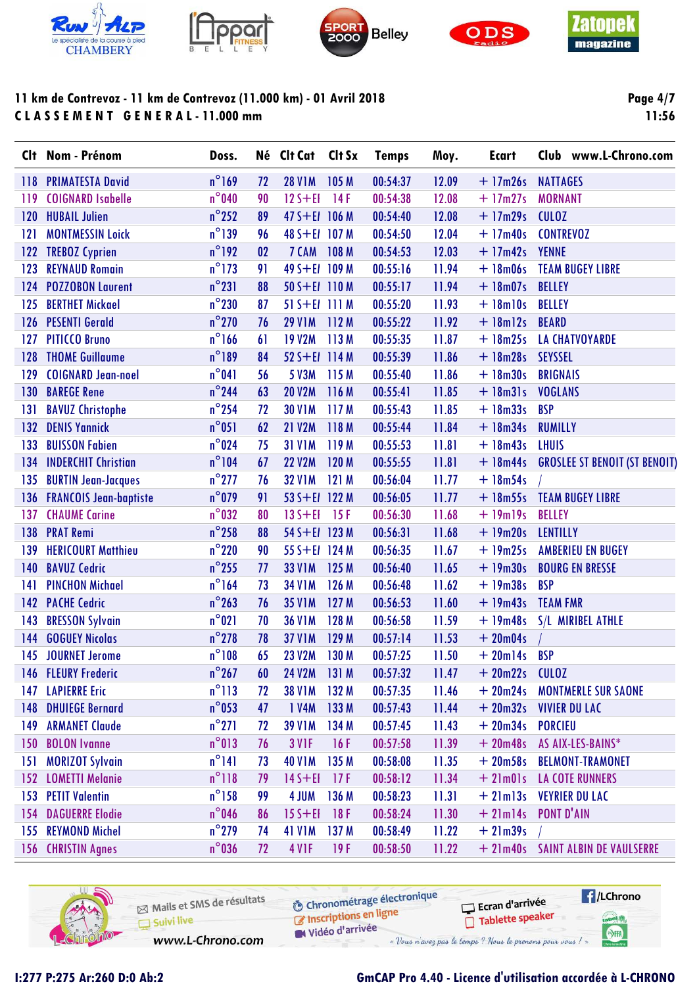









**Page 4/7 11:56**

|       | Clt Nom - Prénom              | Doss.           |    | Né Clt Cat Clt Sx |       | <b>Temps</b> | Moy.  | <b>Ecart</b>   | Club www.L-Chrono.com                |
|-------|-------------------------------|-----------------|----|-------------------|-------|--------------|-------|----------------|--------------------------------------|
| 118   | <b>PRIMATESTA David</b>       | $n^{\circ}$ 169 | 72 | <b>28 V1M</b>     | 105M  | 00:54:37     | 12.09 | $+17m26s$      | <b>NATTAGES</b>                      |
| 119   | <b>COIGNARD Isabelle</b>      | $n^{\circ}$ 040 | 90 | $12S + EI$        | 14F   | 00:54:38     | 12.08 | $+17m27s$      | <b>MORNANT</b>                       |
| 120   | <b>HUBAIL Julien</b>          | $n^{\circ}$ 252 | 89 | $47 S + E1$ 106 M |       | 00:54:40     | 12.08 | $+17m29s$      | <b>CULOZ</b>                         |
| 121   | <b>MONTMESSIN Loick</b>       | $n^{\circ}$ 139 | 96 | 48 S+EI 107 M     |       | 00:54:50     | 12.04 | $+17m40s$      | <b>CONTREVOZ</b>                     |
| 122   | <b>TREBOZ Cyprien</b>         | $n^{\circ}$ 192 | 02 | 7 CAM             | 108 M | 00:54:53     | 12.03 | $+17m42s$      | <b>YENNE</b>                         |
| 123   | <b>REYNAUD Romain</b>         | $n^{\circ}$ 173 | 91 | 49 S+EI 109 M     |       | 00:55:16     | 11.94 | $+ 18m06s$     | <b>TEAM BUGEY LIBRE</b>              |
| 124   | <b>POZZOBON Laurent</b>       | $n^{\circ}231$  | 88 | $50 S + E1 110 M$ |       | 00:55:17     | 11.94 | $+ 18m07s$     | <b>BELLEY</b>                        |
| 125   | <b>BERTHET Mickael</b>        | $n^{\circ}230$  | 87 | $51 S + E1 111 M$ |       | 00:55:20     | 11.93 | $+ 18$ m $10s$ | <b>BELLEY</b>                        |
| 126   | <b>PESENTI Gerald</b>         | $n^{\circ}$ 270 | 76 | <b>29 V1M</b>     | 112M  | 00:55:22     | 11.92 | $+$ 18 $m$ 12s | <b>BEARD</b>                         |
| 127   | <b>PITICCO Bruno</b>          | $n^{\circ}$ 166 | 61 | <b>19 V2M</b>     | 113M  | 00:55:35     | 11.87 | $+ 18m25s$     | <b>LA CHATVOYARDE</b>                |
| 128   | <b>THOME Guillaume</b>        | $n^{\circ}189$  | 84 | $52 S + E1$ 114 M |       | 00:55:39     | 11.86 | $+ 18m28s$     | <b>SEYSSEL</b>                       |
| 129   | <b>COIGNARD Jean-noel</b>     | $n^{\circ}041$  | 56 | 5 V3M             | 115 M | 00:55:40     | 11.86 | $+ 18m30s$     | <b>BRIGNAIS</b>                      |
| 130   | <b>BAREGE Rene</b>            | $n^{\circ}$ 244 | 63 | <b>20 V2M</b>     | 116 M | 00:55:41     | 11.85 | $+ 18m31s$     | <b>VOGLANS</b>                       |
| 131   | <b>BAVUZ Christophe</b>       | $n^{\circ}$ 254 | 72 | <b>30 V1M</b>     | 117M  | 00:55:43     | 11.85 | $+ 18m33s$     | <b>BSP</b>                           |
| $132$ | <b>DENIS Yannick</b>          | $n^{\circ}051$  | 62 | <b>21 V2M</b>     | 118 M | 00:55:44     | 11.84 | $+ 18m34s$     | <b>RUMILLY</b>                       |
| 133   | <b>BUISSON Fabien</b>         | $n^{\circ}$ 024 | 75 | <b>31 V1M</b>     | 119 M | 00:55:53     | 11.81 | $+ 18m43s$     | <b>LHUIS</b>                         |
| 134   | <b>INDERCHIT Christian</b>    | $n^{\circ}104$  | 67 | <b>22 V2M</b>     | 120 M | 00:55:55     | 11.81 | $+$ 18 $m44s$  | <b>GROSLEE ST BENOIT (ST BENOIT)</b> |
| 135   | <b>BURTIN Jean-Jacques</b>    | $n^{\circ}$ 277 | 76 | <b>32 V1M</b>     | 121 M | 00:56:04     | 11.77 | $+ 18m54s$     |                                      |
| 136   | <b>FRANCOIS Jean-baptiste</b> | $n^{\circ}$ 079 | 91 | 53 S+EI 122 M     |       | 00:56:05     | 11.77 | $+ 18m55s$     | <b>TEAM BUGEY LIBRE</b>              |
| 137   | <b>CHAUME Carine</b>          | $n^{\circ}$ 032 | 80 | $135 + E1$        | 15F   | 00:56:30     | 11.68 | $+19m19s$      | <b>BELLEY</b>                        |
| 138   | <b>PRAT Remi</b>              | $n^{\circ}$ 258 | 88 | 54 S+El 123 M     |       | 00:56:31     | 11.68 | $+19m20s$      | <b>LENTILLY</b>                      |
| 139   | <b>HERICOURT Matthieu</b>     | $n^{\circ}$ 220 | 90 | 55 S+EI 124 M     |       | 00:56:35     | 11.67 | $+19m25s$      | <b>AMBERIEU EN BUGEY</b>             |
| 140   | <b>BAVUZ Cedric</b>           | $n^{\circ}$ 255 | 77 | <b>33 V1M</b>     | 125 M | 00:56:40     | 11.65 | $+19m30s$      | <b>BOURG EN BRESSE</b>               |
| 141   | <b>PINCHON Michael</b>        | $n^{\circ}$ 164 | 73 | <b>34 V1M</b>     | 126 M | 00:56:48     | 11.62 | $+19m38s$      | <b>BSP</b>                           |
| 142   | <b>PACHE Cedric</b>           | $n^{\circ}$ 263 | 76 | <b>35 V1M</b>     | 127 M | 00:56:53     | 11.60 | $+19m43s$      | <b>TEAM FMR</b>                      |
| 143   | <b>BRESSON Sylvain</b>        | $n^{\circ}021$  | 70 | <b>36 V1M</b>     | 128 M | 00:56:58     | 11.59 | $+19m48s$      | S/L MIRIBEL ATHLE                    |
| 144   | <b>GOGUEY Nicolas</b>         | $n^{\circ}$ 278 | 78 | <b>37 V1M</b>     | 129 M | 00:57:14     | 11.53 | $+20m04s$      |                                      |
|       | 145 JOURNET Jerome            | $n^{\circ}108$  | 65 | <b>23 V2M</b>     | 130 M | 00:57:25     | 11.50 | $+20m14s$      | <b>BSP</b>                           |
|       | 146 FLEURY Frederic           | $n^{\circ}$ 267 | 60 | <b>24 V2M</b>     | 131 M | 00:57:32     | 11.47 | $+20m22s$      | <b>CULOZ</b>                         |
| 147   | <b>LAPIERRE Eric</b>          | $n^{\circ}113$  | 72 | <b>38 V1M</b>     | 132 M | 00:57:35     | 11.46 | $+20m24s$      | <b>MONTMERLE SUR SAONE</b>           |
| 148   | <b>DHUIEGE Bernard</b>        | $n^{\circ}$ 053 | 47 | 1 V4M             | 133 M | 00:57:43     | 11.44 | $+20m32s$      | <b>VIVIER DU LAC</b>                 |
| 149   | <b>ARMANET Claude</b>         | $n^{\circ}271$  | 72 | <b>39 V1M</b>     | 134 M | 00:57:45     | 11.43 | $+20m34s$      | <b>PORCIEU</b>                       |
| 150   | <b>BOLON Ivanne</b>           | $n^{\circ}013$  | 76 | 3 V <sub>IF</sub> | 16F   | 00:57:58     | 11.39 | $+20m48s$      | AS AIX-LES-BAINS*                    |
| 151   | <b>MORIZOT Sylvain</b>        | $n^{\circ}141$  | 73 | <b>40 V1M</b>     | 135 M | 00:58:08     | 11.35 | $+20m58s$      | <b>BELMONT-TRAMONET</b>              |
| 152   | <b>LOMETTI Melanie</b>        | $n^{\circ}118$  | 79 | $14S + EI$        | 17F   | 00:58:12     | 11.34 | $+21m01s$      | <b>LA COTE RUNNERS</b>               |
| 153   | <b>PETIT Valentin</b>         | $n^{\circ}$ 158 | 99 | 4 JUM             | 136 M | 00:58:23     | 11.31 | $+2$ lm $13s$  | <b>VEYRIER DU LAC</b>                |
| 154   | <b>DAGUERRE Elodie</b>        | $n^{\circ}$ 046 | 86 | $15 S + EI$       | 18F   | 00:58:24     | 11.30 | $+2$ lm $14s$  | <b>PONT D'AIN</b>                    |
| 155   | <b>REYMOND Michel</b>         | $n^{\circ}$ 279 | 74 | <b>41 V1M</b>     | 137 M | 00:58:49     | 11.22 | $+21m39s$      |                                      |
| 156   | <b>CHRISTIN Agnes</b>         | $n^{\circ}$ 036 | 72 | 4 V <sub>IF</sub> | 19F   | 00:58:50     | 11.22 |                | + 21m40s SAINT ALBIN DE VAULSERRE    |

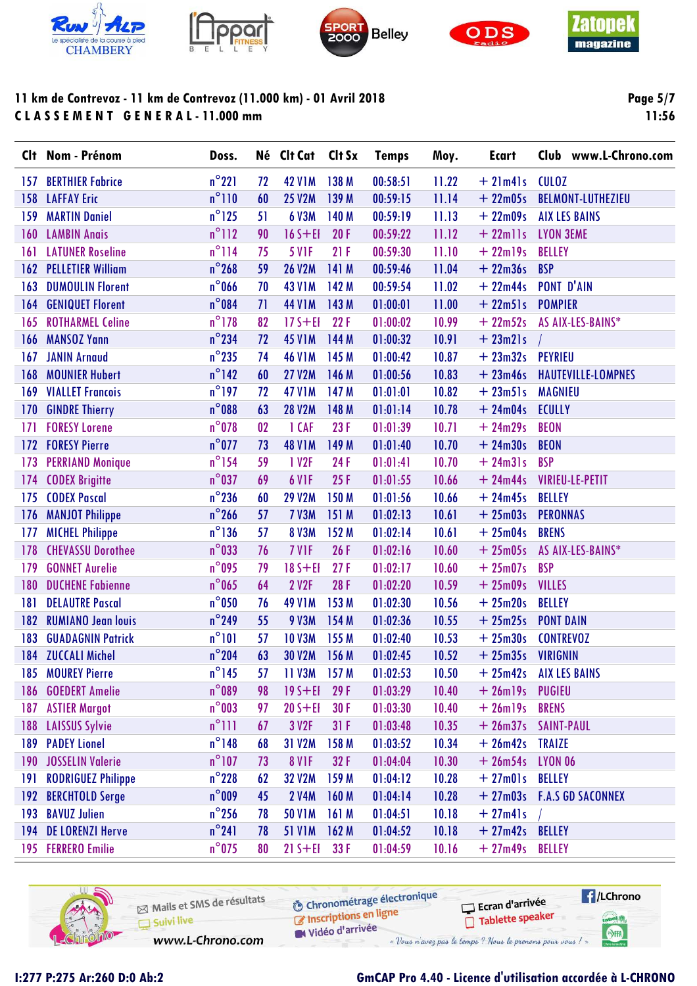









**Page 5/7** 11:56

|                  | Clt Nom - Prénom          | Doss.           |    | Né Clt Cat Clt Sx |            | <b>Temps</b> | Moy.  | <b>Ecart</b>    | Club www.L-Chrono.com      |
|------------------|---------------------------|-----------------|----|-------------------|------------|--------------|-------|-----------------|----------------------------|
| 157              | <b>BERTHIER Fabrice</b>   | $n^{\circ}221$  | 72 | <b>42 V1M</b>     | 138 M      | 00:58:51     | 11.22 | $+2$ lm4ls      | <b>CULOZ</b>               |
| 158              | <b>LAFFAY Eric</b>        | $n^{\circ}110$  | 60 | <b>25 V2M</b>     | 139 M      | 00:59:15     | 11.14 | $+22m05s$       | <b>BELMONT-LUTHEZIEU</b>   |
| 159              | <b>MARTIN Daniel</b>      | $n^{\circ}$ 125 | 51 | <b>6 V3M</b>      | 140 M      | 00:59:19     | 11.13 | $+22m09s$       | <b>AIX LES BAINS</b>       |
| 160              | <b>LAMBIN Anais</b>       | $n^{\circ}$ 112 | 90 | $16S + EI$        | 20F        | 00:59:22     | 11.12 | $+ 22$ mlls     | <b>LYON 3EME</b>           |
| 161              | <b>LATUNER Roseline</b>   | $n^{\circ}$ 114 | 75 | <b>5 V1F</b>      | 21F        | 00:59:30     | 11.10 | $+22$ ml9s      | <b>BELLEY</b>              |
| 162              | <b>PELLETIER William</b>  | $n^{\circ}$ 268 | 59 | <b>26 V2M</b>     | 141 M      | 00:59:46     | 11.04 | $+22m36s$       | <b>BSP</b>                 |
| 163              | <b>DUMOULIN Florent</b>   | $n^{\circ}$ 066 | 70 | <b>43 V1M</b>     | 142 M      | 00:59:54     | 11.02 | $+22m44s$       | <b>PONT D'AIN</b>          |
| 164              | <b>GENIQUET Florent</b>   | $n^{\circ}084$  | 71 | <b>44 V1M</b>     | 143 M      | 01:00:01     | 11.00 | $+ 22m51s$      | <b>POMPIER</b>             |
| 165              | <b>ROTHARMEL Celine</b>   | $n^{\circ}$ 178 | 82 | $17S + EI$        | 22F        | 01:00:02     | 10.99 | $+22m52s$       | AS AIX-LES-BAINS*          |
| 166              | <b>MANSOZ Yann</b>        | $n^{\circ}$ 234 | 72 | <b>45 V1M</b>     | 144 M      | 01:00:32     | 10.91 | $+ 23m21s$      |                            |
| 167              | <b>JANIN Arnaud</b>       | $n^{\circ}$ 235 | 74 | <b>46 V1M</b>     | 145 M      | 01:00:42     | 10.87 | $+23m32s$       | PEYRIEU                    |
| 168              | <b>MOUNIER Hubert</b>     | $n^{\circ}$ 142 | 60 | <b>27 V2M</b>     | 146 M      | 01:00:56     | 10.83 | $+23m46s$       | HAUTEVILLE-LOMPNES         |
| 169              | <b>VIALLET Francois</b>   | $n^{\circ}$ 197 | 72 | <b>47 V1M</b>     | 147 M      | 01:01:01     | 10.82 | $+ 23m51s$      | <b>MAGNIEU</b>             |
| 170              | <b>GINDRE Thierry</b>     | $n^{\circ}$ 088 | 63 | <b>28 V2M</b>     | 148 M      | 01:01:14     | 10.78 | $+24m04s$       | <b>ECULLY</b>              |
| 171              | <b>FORESY Lorene</b>      | $n^{\circ}$ 078 | 02 | 1 CAF             | 23F        | 01:01:39     | 10.71 | $+24m29s$       | <b>BEON</b>                |
| 172              | <b>FORESY Pierre</b>      | $n^{\circ}$ 077 | 73 | <b>48 V1M</b>     | 149 M      | 01:01:40     | 10.70 | $+24m30s$       | <b>BEON</b>                |
| 173              | <b>PERRIAND Monique</b>   | $n^{\circ}$ 154 | 59 | 1 V2F             | 24F        | 01:01:41     | 10.70 | $+ 24m31s$      | <b>BSP</b>                 |
| 174              | <b>CODEX Brigitte</b>     | $n^{\circ}$ 037 | 69 | 6 V <sub>IF</sub> | 25F        | 01:01:55     | 10.66 | $+24m44s$       | <b>VIRIEU-LE-PETIT</b>     |
| 175              | <b>CODEX Pascal</b>       | $n^{\circ}$ 236 | 60 | <b>29 V2M</b>     | 150 M      | 01:01:56     | 10.66 | $+24m45s$       | <b>BELLEY</b>              |
| 176              | <b>MANJOT Philippe</b>    | $n^{\circ}$ 266 | 57 | <b>7 V3M</b>      | 151 M      | 01:02:13     | 10.61 | $+25m03s$       | <b>PERONNAS</b>            |
| 177              | <b>MICHEL Philippe</b>    | $n^{\circ}$ 136 | 57 | <b>8 V3M</b>      | 152 M      | 01:02:14     | 10.61 | $+25m04s$       | <b>BRENS</b>               |
| 178              | <b>CHEVASSU Dorothee</b>  | $n^{\circ}$ 033 | 76 | 7 VIF             | 26F        | 01:02:16     | 10.60 | $+25m05s$       | AS AIX-LES-BAINS*          |
| 179              | <b>GONNET Aurelie</b>     | $n^{\circ}$ 095 | 79 | $18S + EI$        | 27F        | 01:02:17     | 10.60 | $+25m07s$       | <b>BSP</b>                 |
| 180              | <b>DUCHENE Fabienne</b>   | $n^{\circ}$ 065 | 64 | <b>2 V2F</b>      | <b>28F</b> | 01:02:20     | 10.59 | $+25m09s$       | <b>VILLES</b>              |
| 181              | <b>DELAUTRE Pascal</b>    | $n^{\circ}$ 050 | 76 | <b>49 V1M</b>     | 153 M      | 01:02:30     | 10.56 | $+25m20s$       | <b>BELLEY</b>              |
| 182              | <b>RUMIANO Jean louis</b> | $n^{\circ}$ 249 | 55 | <b>9 V3M</b>      | 154 M      | 01:02:36     | 10.55 | $+25m25s$       | <b>PONT DAIN</b>           |
| 183              | <b>GUADAGNIN Patrick</b>  | $n^{\circ}101$  | 57 | <b>10 V3M</b>     | 155 M      | 01:02:40     | 10.53 | $+25m30s$       | <b>CONTREVOZ</b>           |
| 184              | <b>ZUCCALI Michel</b>     | $n^{\circ}$ 204 | 63 | <b>30 V2M</b>     | 156 M      | 01:02:45     | 10.52 | $+25m35s$       | <b>VIRIGNIN</b>            |
| 185              | <b>MOUREY Pierre</b>      | $n^{\circ}$ 145 | 57 | 11 V3M            | 157M       | 01:02:53     | 10.50 | $+25m42s$       | <b>AIX LES BAINS</b>       |
| 186              | <b>GOEDERT Amelie</b>     | $n^{\circ}$ 089 | 98 | $19S + EI$        | 29F        | 01:03:29     | 10.40 | $+ 26$ ml9s     | <b>PUGIEU</b>              |
| 187              | <b>ASTIER Margot</b>      | $n^{\circ}$ 003 | 97 | $20 S + EI$       | 30 F       | 01:03:30     | 10.40 | $+ 26$ ml9s     | <b>BRENS</b>               |
| 188              | <b>LAISSUS Sylvie</b>     | $n^{\circ}$ 111 | 67 | 3 V2F             | 31F        | 01:03:48     | 10.35 | $+26m37s$       | <b>SAINT-PAUL</b>          |
| 189              | <b>PADEY Lionel</b>       | $n^{\circ}$ 148 | 68 | 31 V2M            | 158 M      | 01:03:52     | 10.34 | $+26m42s$       | <b>TRAIZE</b>              |
| 190 <sub>1</sub> | <b>JOSSELIN Valerie</b>   | $n^{\circ}$ 107 | 73 | 8 VIF             | 32F        | 01:04:04     | 10.30 | $+26m54s$       | <b>LYON 06</b>             |
| 191              | <b>RODRIGUEZ Philippe</b> | $n^{\circ}$ 228 | 62 | <b>32 V2M</b>     | 159 M      | 01:04:12     | 10.28 | $+27m01s$       | BELLEY                     |
| 192              | <b>BERCHTOLD Serge</b>    | $n^{\circ}$ 009 | 45 | <b>2 V4M</b>      | 160 M      | 01:04:14     | 10.28 |                 | + 27m03s F.A.S GD SACONNEX |
| 193              | <b>BAVUZ Julien</b>       | $n^{\circ}$ 256 | 78 | <b>50 V1M</b>     | 161 M      | 01:04:51     | 10.18 | $+27m41s$       |                            |
| 194              | <b>DE LORENZI Herve</b>   | $n^{\circ}241$  | 78 | <b>51 V1M</b>     | 162M       | 01:04:52     | 10.18 | + 27m42s BELLEY |                            |
|                  | 195 FERRERO Emilie        | $n^{\circ}$ 075 | 80 | $21 S + EI$       | 33 F       | 01:04:59     | 10.16 | + 27m49s BELLEY |                            |

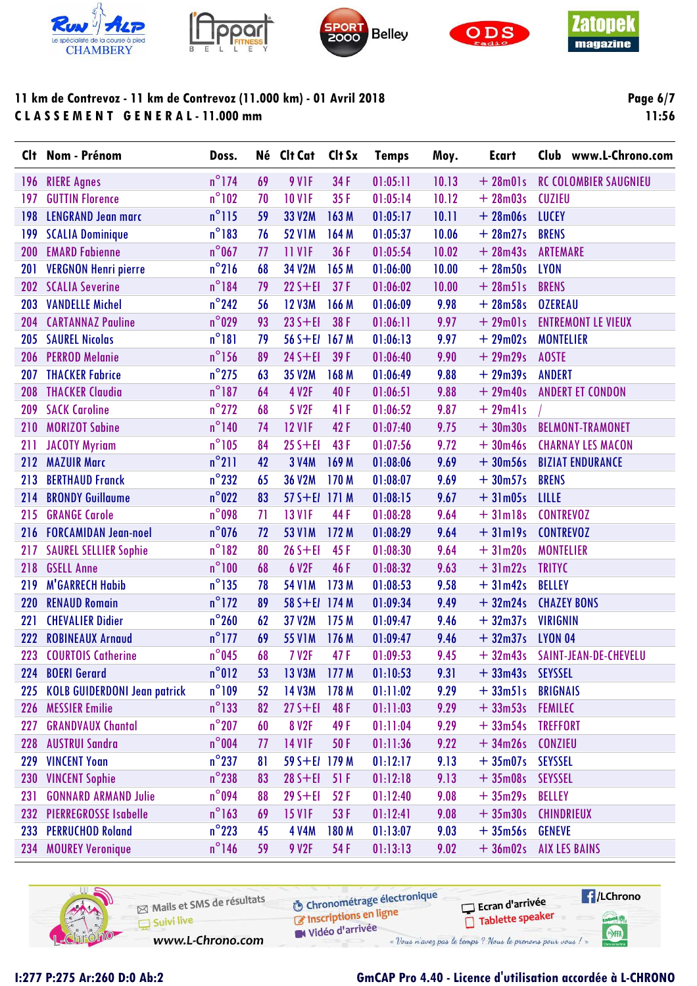









**Page 6/7** 11:56

| <b>CI</b> t | Nom - Prénom                        | Doss.           |    | Né Clt Cat        | Clt Sx | <b>Temps</b> | Moy.  | <b>Ecart</b>     | Club www.L-Chrono.com        |
|-------------|-------------------------------------|-----------------|----|-------------------|--------|--------------|-------|------------------|------------------------------|
| 196         | <b>RIERE Agnes</b>                  | $n^{\circ}$ 174 | 69 | 9 V <sub>IF</sub> | 34 F   | 01:05:11     | 10.13 | $+28m01s$        | <b>RC COLOMBIER SAUGNIEU</b> |
| 197         | <b>GUTTIN Florence</b>              | $n^{\circ}102$  | 70 | <b>10 V1F</b>     | 35F    | 01:05:14     | 10.12 | $+28m03s$        | <b>CUZIEU</b>                |
| 198         | <b>LENGRAND Jean marc</b>           | $n^{\circ}$ 115 | 59 | 33 V2M            | 163 M  | 01:05:17     | 10.11 | $+28m06s$        | <b>LUCEY</b>                 |
| 199         | <b>SCALIA Dominique</b>             | $n^{\circ}$ 183 | 76 | <b>52 V1M</b>     | 164 M  | 01:05:37     | 10.06 | $+28m27s$        | <b>BRENS</b>                 |
| 200         | <b>EMARD Fabienne</b>               | $n^{\circ}$ 067 | 77 | <b>11 V1F</b>     | 36F    | 01:05:54     | 10.02 | $+28m43s$        | <b>ARTEMARE</b>              |
| 201         | <b>VERGNON Henri pierre</b>         | $n^{\circ}$ 216 | 68 | 34 V2M            | 165 M  | 01:06:00     | 10.00 | $+28m50s$        | <b>LYON</b>                  |
| 202         | <b>SCALIA Severine</b>              | $n^{\circ}184$  | 79 | $22S + EI$        | 37F    | 01:06:02     | 10.00 | $+28m51s$        | <b>BRENS</b>                 |
| 203         | <b>VANDELLE Michel</b>              | $n^{\circ}$ 242 | 56 | <b>12 V3M</b>     | 166 M  | 01:06:09     | 9.98  | $+28m58s$        | <b>OZEREAU</b>               |
| 204         | <b>CARTANNAZ Pauline</b>            | $n^{\circ}029$  | 93 | $23S + EI$        | 38 F   | 01:06:11     | 9.97  | $+29m01s$        | <b>ENTREMONT LE VIEUX</b>    |
| 205         | <b>SAUREL Nicolas</b>               | $n^{\circ}181$  | 79 | 56 S+EI 167 M     |        | 01:06:13     | 9.97  | $+29m02s$        | <b>MONTELIER</b>             |
| 206         | <b>PERROD Melanie</b>               | $n^{\circ}$ 156 | 89 | $24 S + EI$       | 39F    | 01:06:40     | 9.90  | $+29m29s$        | <b>AOSTE</b>                 |
| 207         | <b>THACKER Fabrice</b>              | $n^{\circ}$ 275 | 63 | 35 V2M            | 168 M  | 01:06:49     | 9.88  | $+29m39s$        | <b>ANDERT</b>                |
| 208         | <b>THACKER Claudia</b>              | $n^{\circ}$ 187 | 64 | <b>4 V2F</b>      | 40F    | 01:06:51     | 9.88  | $+29m40s$        | <b>ANDERT ET CONDON</b>      |
| 209         | <b>SACK Caroline</b>                | $n^{\circ}$ 272 | 68 | 5 V2F             | 41 F   | 01:06:52     | 9.87  | $+29m41s$        |                              |
| 210         | <b>MORIZOT Sabine</b>               | $n^{\circ}$ 140 | 74 | <b>12 V1F</b>     | 42F    | 01:07:40     | 9.75  | $+30m30s$        | <b>BELMONT-TRAMONET</b>      |
| 211         | <b>JACOTY Myriam</b>                | $n^{\circ}105$  | 84 | $25 S + EI$       | 43F    | 01:07:56     | 9.72  | $+30m46s$        | <b>CHARNAY LES MACON</b>     |
| 212         | <b>MAZUIR Marc</b>                  | $n^{\circ}$ 211 | 42 | <b>3 V4M</b>      | 169 M  | 01:08:06     | 9.69  | $+30m56s$        | <b>BIZIAT ENDURANCE</b>      |
| 213         | <b>BERTHAUD Franck</b>              | $n^{\circ}$ 232 | 65 | 36 V2M            | 170 M  | 01:08:07     | 9.69  | $+30m57s$        | <b>BRENS</b>                 |
| 214         | <b>BRONDY Guillaume</b>             | $n^{\circ}022$  | 83 | 57 S+EI 171 M     |        | 01:08:15     | 9.67  | $+31m05s$        | LILLE                        |
| 215         | <b>GRANGE Carole</b>                | $n^{\circ}$ 098 | 71 | <b>13 V1F</b>     | 44 F   | 01:08:28     | 9.64  | $+31ml8s$        | <b>CONTREVOZ</b>             |
| 216         | <b>FORCAMIDAN Jean-noel</b>         | $n^{\circ}$ 076 | 72 | <b>53 V1M</b>     | 172 M  | 01:08:29     | 9.64  | $+31ml9s$        | <b>CONTREVOZ</b>             |
| 217         | <b>SAUREL SELLIER Sophie</b>        | $n^{\circ}182$  | 80 | $26 S + EI$       | 45 F   | 01:08:30     | 9.64  | $+31m20s$        | <b>MONTELIER</b>             |
| 218         | <b>GSELL Anne</b>                   | $n^{\circ}100$  | 68 | 6 V2F             | 46 F   | 01:08:32     | 9.63  | $+31m22s$        | <b>TRITYC</b>                |
| 219         | <b>M'GARRECH Habib</b>              | $n^{\circ}$ 135 | 78 | <b>54 V1M</b>     | 173 M  | 01:08:53     | 9.58  | $+31m42s$        | <b>BELLEY</b>                |
| 220         | <b>RENAUD Romain</b>                | $n^{\circ}$ 172 | 89 | $58 S + E1$       | 174M   | 01:09:34     | 9.49  | $+32m24s$        | <b>CHAZEY BONS</b>           |
| 221         | <b>CHEVALIER Didier</b>             | $n^{\circ}260$  | 62 | 37 V2M            | 175 M  | 01:09:47     | 9.46  | $+32m37s$        | <b>VIRIGNIN</b>              |
| 222         | <b>ROBINEAUX Arnaud</b>             | $n^{\circ}$ 177 | 69 | <b>55 V1M</b>     | 176 M  | 01:09:47     | 9.46  | $+32m37s$        | <b>LYON 04</b>               |
| 223         | <b>COURTOIS Catherine</b>           | $n^{\circ}$ 045 | 68 | <b>7 V2F</b>      | 47F    | 01:09:53     | 9.45  | $+32m43s$        | SAINT-JEAN-DE-CHEVELU        |
| 224         | <b>BOERI Gerard</b>                 | $n^{\circ}012$  | 53 | <b>13 V3M</b>     | 177M   | 01:10:53     | 9.31  | + 33m43s SEYSSEL |                              |
| 225         | <b>KOLB GUIDERDONI Jean patrick</b> | $n^{\circ}109$  | 52 | 14 V3M            | 178 M  | 01:11:02     | 9.29  | $+33m51s$        | <b>BRIGNAIS</b>              |
| 226         | <b>MESSIER Emilie</b>               | $n^{\circ}$ 133 | 82 | $27 S + EI$       | 48 F   | 01:11:03     | 9.29  | $+33m53s$        | <b>FEMILEC</b>               |
| 227         | <b>GRANDVAUX Chantal</b>            | $n^{\circ}$ 207 | 60 | <b>8 V2F</b>      | 49 F   | 01:11:04     | 9.29  | $+33m54s$        | <b>TREFFORT</b>              |
| 228         | <b>AUSTRUI Sandra</b>               | $n^{\circ}$ 004 | 77 | <b>14 V1F</b>     | 50F    | 01:11:36     | 9.22  | $+34m26s$        | <b>CONZIEU</b>               |
| 229         | <b>VINCENT Yoan</b>                 | $n^{\circ}$ 237 | 81 | 59 S+El 179 M     |        | 01:12:17     | 9.13  | $+35m07s$        | <b>SEYSSEL</b>               |
| 230         | <b>VINCENT Sophie</b>               | $n^{\circ}$ 238 | 83 | $28 S + EI$       | 51 F   | 01:12:18     | 9.13  | $+35m08s$        | <b>SEYSSEL</b>               |
| 231         | <b>GONNARD ARMAND Julie</b>         | $n^{\circ}$ 094 | 88 | $29S + EI$        | 52F    | 01:12:40     | 9.08  | $+35m29s$        | <b>BELLEY</b>                |
| 232         | <b>PIERREGROSSE Isabelle</b>        | $n^{\circ}$ 163 | 69 | <b>15 V1F</b>     | 53F    | 01:12:41     | 9.08  | $+35m30s$        | <b>CHINDRIEUX</b>            |
| 233         | <b>PERRUCHOD Roland</b>             | $n^{\circ}$ 223 | 45 | <b>4 V4M</b>      | 180 M  | 01:13:07     | 9.03  | $+35m56s$        | <b>GENEVE</b>                |
| 234         | <b>MOUREY Veronique</b>             | $n^{\circ}$ 146 | 59 | 9 V2F             | 54 F   | 01:13:13     | 9.02  | $+36m02s$        | <b>AIX LES BAINS</b>         |